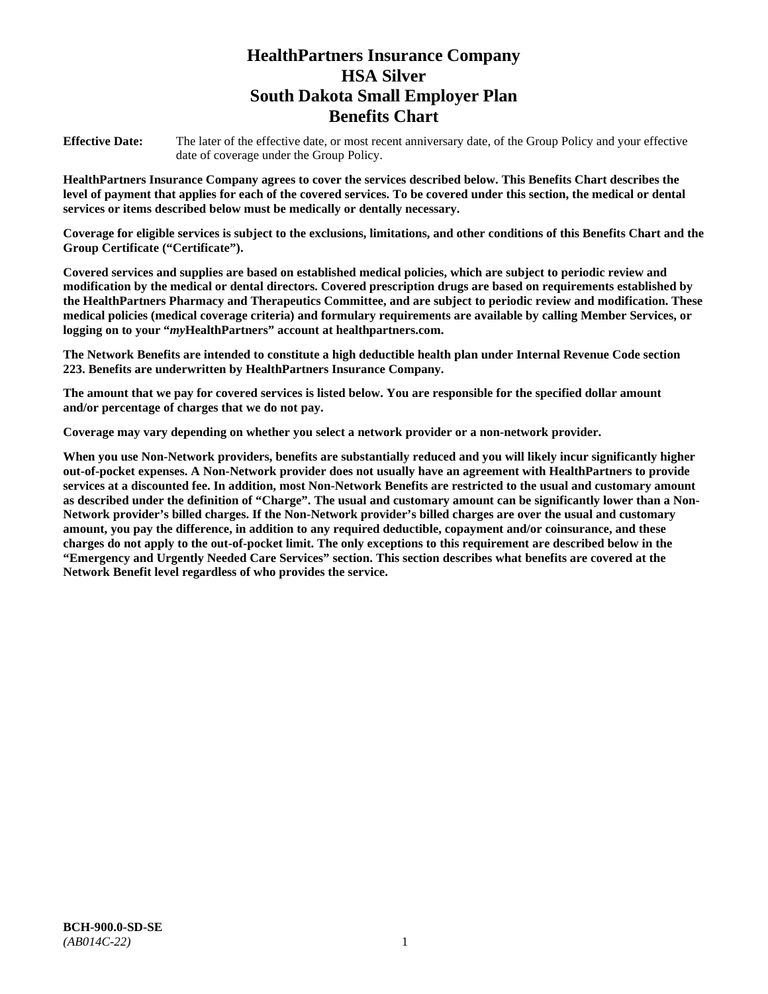# **HealthPartners Insurance Company HSA Silver South Dakota Small Employer Plan Benefits Chart**

**Effective Date:** The later of the effective date, or most recent anniversary date, of the Group Policy and your effective date of coverage under the Group Policy.

**HealthPartners Insurance Company agrees to cover the services described below. This Benefits Chart describes the level of payment that applies for each of the covered services. To be covered under this section, the medical or dental services or items described below must be medically or dentally necessary.**

**Coverage for eligible services is subject to the exclusions, limitations, and other conditions of this Benefits Chart and the Group Certificate ("Certificate").**

**Covered services and supplies are based on established medical policies, which are subject to periodic review and modification by the medical or dental directors. Covered prescription drugs are based on requirements established by the HealthPartners Pharmacy and Therapeutics Committee, and are subject to periodic review and modification. These medical policies (medical coverage criteria) and formulary requirements are available by calling Member Services, or logging on to your "***my***HealthPartners" account at [healthpartners.com.](file://isntmacsrv0/www.healthpartners.com)**

**The Network Benefits are intended to constitute a high deductible health plan under Internal Revenue Code section 223. Benefits are underwritten by HealthPartners Insurance Company.**

**The amount that we pay for covered services is listed below. You are responsible for the specified dollar amount and/or percentage of charges that we do not pay.**

**Coverage may vary depending on whether you select a network provider or a non-network provider.**

**When you use Non-Network providers, benefits are substantially reduced and you will likely incur significantly higher out-of-pocket expenses. A Non-Network provider does not usually have an agreement with HealthPartners to provide services at a discounted fee. In addition, most Non-Network Benefits are restricted to the usual and customary amount as described under the definition of "Charge". The usual and customary amount can be significantly lower than a Non-Network provider's billed charges. If the Non-Network provider's billed charges are over the usual and customary amount, you pay the difference, in addition to any required deductible, copayment and/or coinsurance, and these charges do not apply to the out-of-pocket limit. The only exceptions to this requirement are described below in the "Emergency and Urgently Needed Care Services" section. This section describes what benefits are covered at the Network Benefit level regardless of who provides the service.**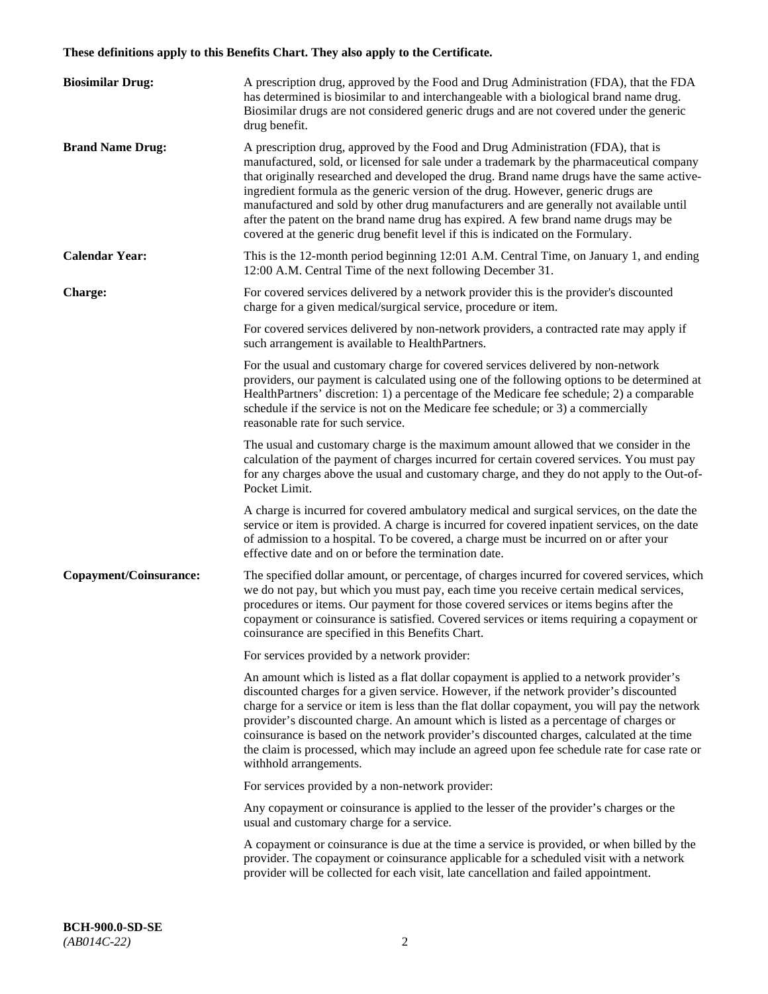# **These definitions apply to this Benefits Chart. They also apply to the Certificate.**

| <b>Biosimilar Drug:</b> | A prescription drug, approved by the Food and Drug Administration (FDA), that the FDA<br>has determined is biosimilar to and interchangeable with a biological brand name drug.<br>Biosimilar drugs are not considered generic drugs and are not covered under the generic<br>drug benefit.                                                                                                                                                                                                                                                                                                                                         |
|-------------------------|-------------------------------------------------------------------------------------------------------------------------------------------------------------------------------------------------------------------------------------------------------------------------------------------------------------------------------------------------------------------------------------------------------------------------------------------------------------------------------------------------------------------------------------------------------------------------------------------------------------------------------------|
| <b>Brand Name Drug:</b> | A prescription drug, approved by the Food and Drug Administration (FDA), that is<br>manufactured, sold, or licensed for sale under a trademark by the pharmaceutical company<br>that originally researched and developed the drug. Brand name drugs have the same active-<br>ingredient formula as the generic version of the drug. However, generic drugs are<br>manufactured and sold by other drug manufacturers and are generally not available until<br>after the patent on the brand name drug has expired. A few brand name drugs may be<br>covered at the generic drug benefit level if this is indicated on the Formulary. |
| <b>Calendar Year:</b>   | This is the 12-month period beginning 12:01 A.M. Central Time, on January 1, and ending<br>12:00 A.M. Central Time of the next following December 31.                                                                                                                                                                                                                                                                                                                                                                                                                                                                               |
| <b>Charge:</b>          | For covered services delivered by a network provider this is the provider's discounted<br>charge for a given medical/surgical service, procedure or item.                                                                                                                                                                                                                                                                                                                                                                                                                                                                           |
|                         | For covered services delivered by non-network providers, a contracted rate may apply if<br>such arrangement is available to HealthPartners.                                                                                                                                                                                                                                                                                                                                                                                                                                                                                         |
|                         | For the usual and customary charge for covered services delivered by non-network<br>providers, our payment is calculated using one of the following options to be determined at<br>HealthPartners' discretion: 1) a percentage of the Medicare fee schedule; 2) a comparable<br>schedule if the service is not on the Medicare fee schedule; or 3) a commercially<br>reasonable rate for such service.                                                                                                                                                                                                                              |
|                         | The usual and customary charge is the maximum amount allowed that we consider in the<br>calculation of the payment of charges incurred for certain covered services. You must pay<br>for any charges above the usual and customary charge, and they do not apply to the Out-of-<br>Pocket Limit.                                                                                                                                                                                                                                                                                                                                    |
|                         | A charge is incurred for covered ambulatory medical and surgical services, on the date the<br>service or item is provided. A charge is incurred for covered inpatient services, on the date<br>of admission to a hospital. To be covered, a charge must be incurred on or after your<br>effective date and on or before the termination date.                                                                                                                                                                                                                                                                                       |
| Copayment/Coinsurance:  | The specified dollar amount, or percentage, of charges incurred for covered services, which<br>we do not pay, but which you must pay, each time you receive certain medical services,<br>procedures or items. Our payment for those covered services or items begins after the<br>copayment or coinsurance is satisfied. Covered services or items requiring a copayment or<br>coinsurance are specified in this Benefits Chart.                                                                                                                                                                                                    |
|                         | For services provided by a network provider:                                                                                                                                                                                                                                                                                                                                                                                                                                                                                                                                                                                        |
|                         | An amount which is listed as a flat dollar copayment is applied to a network provider's<br>discounted charges for a given service. However, if the network provider's discounted<br>charge for a service or item is less than the flat dollar copayment, you will pay the network<br>provider's discounted charge. An amount which is listed as a percentage of charges or<br>coinsurance is based on the network provider's discounted charges, calculated at the time<br>the claim is processed, which may include an agreed upon fee schedule rate for case rate or<br>withhold arrangements.                                    |
|                         | For services provided by a non-network provider:                                                                                                                                                                                                                                                                                                                                                                                                                                                                                                                                                                                    |
|                         | Any copayment or coinsurance is applied to the lesser of the provider's charges or the<br>usual and customary charge for a service.                                                                                                                                                                                                                                                                                                                                                                                                                                                                                                 |
|                         | A copayment or coinsurance is due at the time a service is provided, or when billed by the<br>provider. The copayment or coinsurance applicable for a scheduled visit with a network<br>provider will be collected for each visit, late cancellation and failed appointment.                                                                                                                                                                                                                                                                                                                                                        |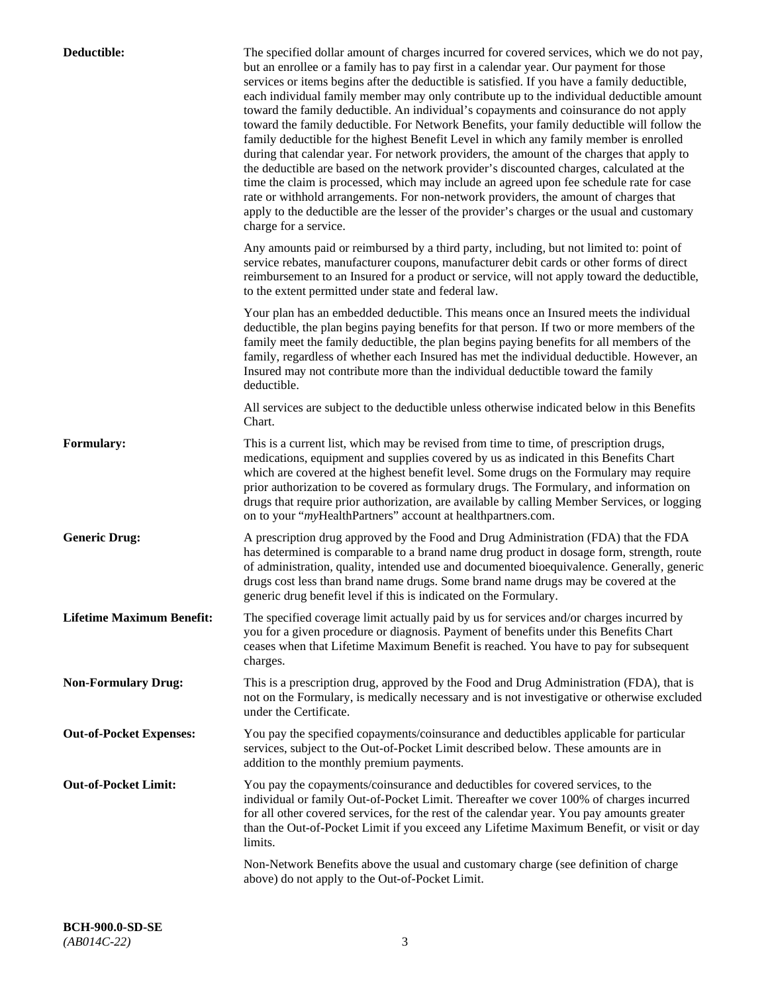| Deductible:                      | The specified dollar amount of charges incurred for covered services, which we do not pay,<br>but an enrollee or a family has to pay first in a calendar year. Our payment for those<br>services or items begins after the deductible is satisfied. If you have a family deductible,<br>each individual family member may only contribute up to the individual deductible amount<br>toward the family deductible. An individual's copayments and coinsurance do not apply<br>toward the family deductible. For Network Benefits, your family deductible will follow the<br>family deductible for the highest Benefit Level in which any family member is enrolled<br>during that calendar year. For network providers, the amount of the charges that apply to<br>the deductible are based on the network provider's discounted charges, calculated at the<br>time the claim is processed, which may include an agreed upon fee schedule rate for case<br>rate or withhold arrangements. For non-network providers, the amount of charges that<br>apply to the deductible are the lesser of the provider's charges or the usual and customary<br>charge for a service. |
|----------------------------------|------------------------------------------------------------------------------------------------------------------------------------------------------------------------------------------------------------------------------------------------------------------------------------------------------------------------------------------------------------------------------------------------------------------------------------------------------------------------------------------------------------------------------------------------------------------------------------------------------------------------------------------------------------------------------------------------------------------------------------------------------------------------------------------------------------------------------------------------------------------------------------------------------------------------------------------------------------------------------------------------------------------------------------------------------------------------------------------------------------------------------------------------------------------------|
|                                  | Any amounts paid or reimbursed by a third party, including, but not limited to: point of<br>service rebates, manufacturer coupons, manufacturer debit cards or other forms of direct<br>reimbursement to an Insured for a product or service, will not apply toward the deductible,<br>to the extent permitted under state and federal law.                                                                                                                                                                                                                                                                                                                                                                                                                                                                                                                                                                                                                                                                                                                                                                                                                            |
|                                  | Your plan has an embedded deductible. This means once an Insured meets the individual<br>deductible, the plan begins paying benefits for that person. If two or more members of the<br>family meet the family deductible, the plan begins paying benefits for all members of the<br>family, regardless of whether each Insured has met the individual deductible. However, an<br>Insured may not contribute more than the individual deductible toward the family<br>deductible.                                                                                                                                                                                                                                                                                                                                                                                                                                                                                                                                                                                                                                                                                       |
|                                  | All services are subject to the deductible unless otherwise indicated below in this Benefits<br>Chart.                                                                                                                                                                                                                                                                                                                                                                                                                                                                                                                                                                                                                                                                                                                                                                                                                                                                                                                                                                                                                                                                 |
| <b>Formulary:</b>                | This is a current list, which may be revised from time to time, of prescription drugs,<br>medications, equipment and supplies covered by us as indicated in this Benefits Chart<br>which are covered at the highest benefit level. Some drugs on the Formulary may require<br>prior authorization to be covered as formulary drugs. The Formulary, and information on<br>drugs that require prior authorization, are available by calling Member Services, or logging<br>on to your "myHealthPartners" account at healthpartners.com.                                                                                                                                                                                                                                                                                                                                                                                                                                                                                                                                                                                                                                  |
| <b>Generic Drug:</b>             | A prescription drug approved by the Food and Drug Administration (FDA) that the FDA<br>has determined is comparable to a brand name drug product in dosage form, strength, route<br>of administration, quality, intended use and documented bioequivalence. Generally, generic<br>drugs cost less than brand name drugs. Some brand name drugs may be covered at the<br>generic drug benefit level if this is indicated on the Formulary.                                                                                                                                                                                                                                                                                                                                                                                                                                                                                                                                                                                                                                                                                                                              |
| <b>Lifetime Maximum Benefit:</b> | The specified coverage limit actually paid by us for services and/or charges incurred by<br>you for a given procedure or diagnosis. Payment of benefits under this Benefits Chart<br>ceases when that Lifetime Maximum Benefit is reached. You have to pay for subsequent<br>charges.                                                                                                                                                                                                                                                                                                                                                                                                                                                                                                                                                                                                                                                                                                                                                                                                                                                                                  |
| <b>Non-Formulary Drug:</b>       | This is a prescription drug, approved by the Food and Drug Administration (FDA), that is<br>not on the Formulary, is medically necessary and is not investigative or otherwise excluded<br>under the Certificate.                                                                                                                                                                                                                                                                                                                                                                                                                                                                                                                                                                                                                                                                                                                                                                                                                                                                                                                                                      |
| <b>Out-of-Pocket Expenses:</b>   | You pay the specified copayments/coinsurance and deductibles applicable for particular<br>services, subject to the Out-of-Pocket Limit described below. These amounts are in<br>addition to the monthly premium payments.                                                                                                                                                                                                                                                                                                                                                                                                                                                                                                                                                                                                                                                                                                                                                                                                                                                                                                                                              |
| <b>Out-of-Pocket Limit:</b>      | You pay the copayments/coinsurance and deductibles for covered services, to the<br>individual or family Out-of-Pocket Limit. Thereafter we cover 100% of charges incurred<br>for all other covered services, for the rest of the calendar year. You pay amounts greater<br>than the Out-of-Pocket Limit if you exceed any Lifetime Maximum Benefit, or visit or day<br>limits.                                                                                                                                                                                                                                                                                                                                                                                                                                                                                                                                                                                                                                                                                                                                                                                         |
|                                  | Non-Network Benefits above the usual and customary charge (see definition of charge<br>above) do not apply to the Out-of-Pocket Limit.                                                                                                                                                                                                                                                                                                                                                                                                                                                                                                                                                                                                                                                                                                                                                                                                                                                                                                                                                                                                                                 |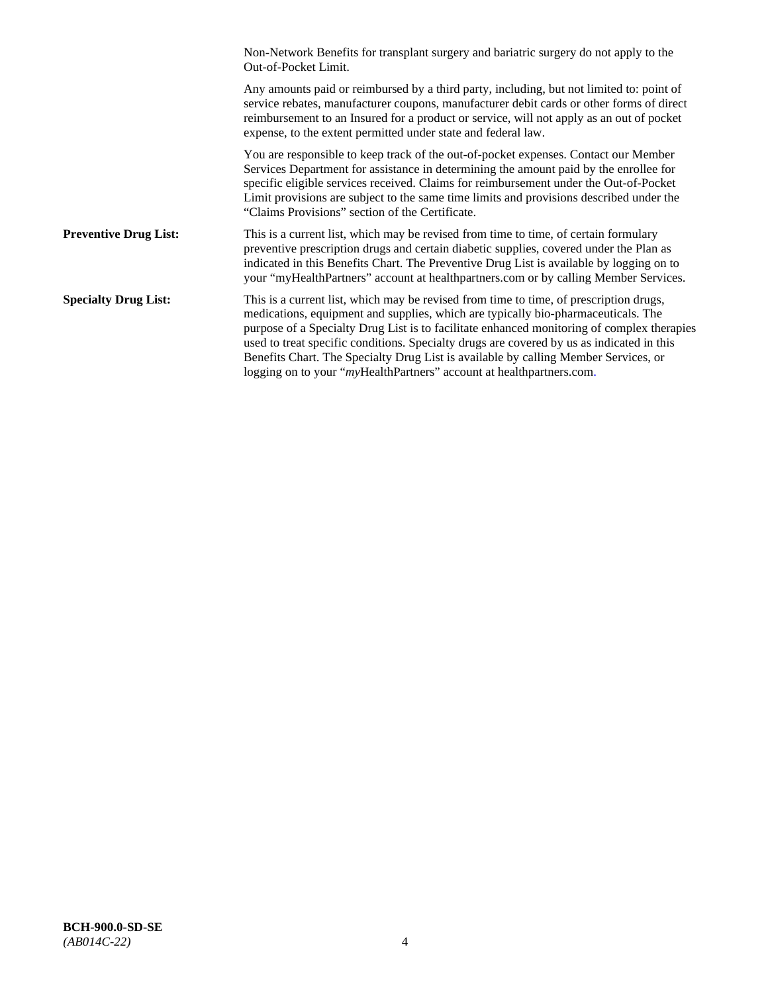|                              | Non-Network Benefits for transplant surgery and bariatric surgery do not apply to the<br>Out-of-Pocket Limit.                                                                                                                                                                                                                                                                                                                                                                                                                         |
|------------------------------|---------------------------------------------------------------------------------------------------------------------------------------------------------------------------------------------------------------------------------------------------------------------------------------------------------------------------------------------------------------------------------------------------------------------------------------------------------------------------------------------------------------------------------------|
|                              | Any amounts paid or reimbursed by a third party, including, but not limited to: point of<br>service rebates, manufacturer coupons, manufacturer debit cards or other forms of direct<br>reimbursement to an Insured for a product or service, will not apply as an out of pocket<br>expense, to the extent permitted under state and federal law.                                                                                                                                                                                     |
|                              | You are responsible to keep track of the out-of-pocket expenses. Contact our Member<br>Services Department for assistance in determining the amount paid by the enrollee for<br>specific eligible services received. Claims for reimbursement under the Out-of-Pocket<br>Limit provisions are subject to the same time limits and provisions described under the<br>"Claims Provisions" section of the Certificate.                                                                                                                   |
| <b>Preventive Drug List:</b> | This is a current list, which may be revised from time to time, of certain formulary<br>preventive prescription drugs and certain diabetic supplies, covered under the Plan as<br>indicated in this Benefits Chart. The Preventive Drug List is available by logging on to<br>your "myHealthPartners" account at healthpartners.com or by calling Member Services.                                                                                                                                                                    |
| <b>Specialty Drug List:</b>  | This is a current list, which may be revised from time to time, of prescription drugs,<br>medications, equipment and supplies, which are typically bio-pharmaceuticals. The<br>purpose of a Specialty Drug List is to facilitate enhanced monitoring of complex therapies<br>used to treat specific conditions. Specialty drugs are covered by us as indicated in this<br>Benefits Chart. The Specialty Drug List is available by calling Member Services, or<br>logging on to your "myHealthPartners" account at healthpartners.com. |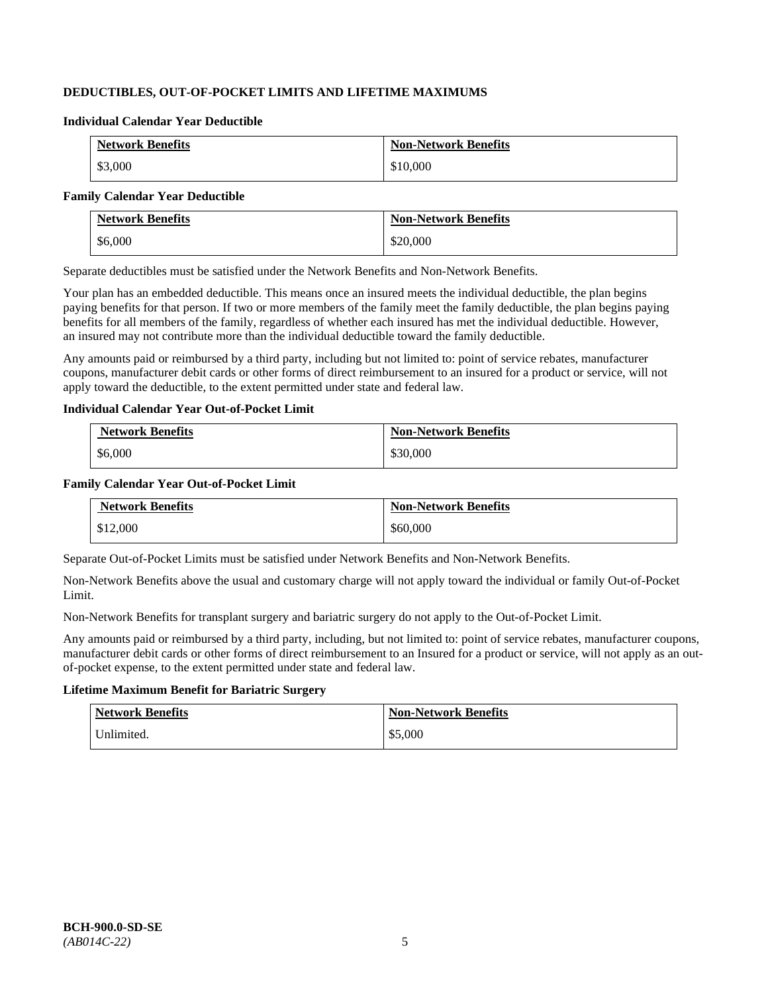# **DEDUCTIBLES, OUT-OF-POCKET LIMITS AND LIFETIME MAXIMUMS**

#### **Individual Calendar Year Deductible**

| <b>Network Benefits</b> | <b>Non-Network Benefits</b> |
|-------------------------|-----------------------------|
| \$3,000                 | \$10,000                    |

#### **Family Calendar Year Deductible**

| <b>Network Benefits</b> | <b>Non-Network Benefits</b> |
|-------------------------|-----------------------------|
| \$6,000                 | \$20,000                    |

Separate deductibles must be satisfied under the Network Benefits and Non-Network Benefits.

Your plan has an embedded deductible. This means once an insured meets the individual deductible, the plan begins paying benefits for that person. If two or more members of the family meet the family deductible, the plan begins paying benefits for all members of the family, regardless of whether each insured has met the individual deductible. However, an insured may not contribute more than the individual deductible toward the family deductible.

Any amounts paid or reimbursed by a third party, including but not limited to: point of service rebates, manufacturer coupons, manufacturer debit cards or other forms of direct reimbursement to an insured for a product or service, will not apply toward the deductible, to the extent permitted under state and federal law.

#### **Individual Calendar Year Out-of-Pocket Limit**

| <b>Network Benefits</b> | <b>Non-Network Benefits</b> |
|-------------------------|-----------------------------|
| \$6,000                 | \$30,000                    |

#### **Family Calendar Year Out-of-Pocket Limit**

| <b>Network Benefits</b> | <b>Non-Network Benefits</b> |
|-------------------------|-----------------------------|
| \$12,000                | \$60,000                    |

Separate Out-of-Pocket Limits must be satisfied under Network Benefits and Non-Network Benefits.

Non-Network Benefits above the usual and customary charge will not apply toward the individual or family Out-of-Pocket Limit.

Non-Network Benefits for transplant surgery and bariatric surgery do not apply to the Out-of-Pocket Limit.

Any amounts paid or reimbursed by a third party, including, but not limited to: point of service rebates, manufacturer coupons, manufacturer debit cards or other forms of direct reimbursement to an Insured for a product or service, will not apply as an outof-pocket expense, to the extent permitted under state and federal law.

# **Lifetime Maximum Benefit for Bariatric Surgery**

| <b>Network Benefits</b> | <b>Non-Network Benefits</b> |
|-------------------------|-----------------------------|
| Unlimited.              | \$5,000                     |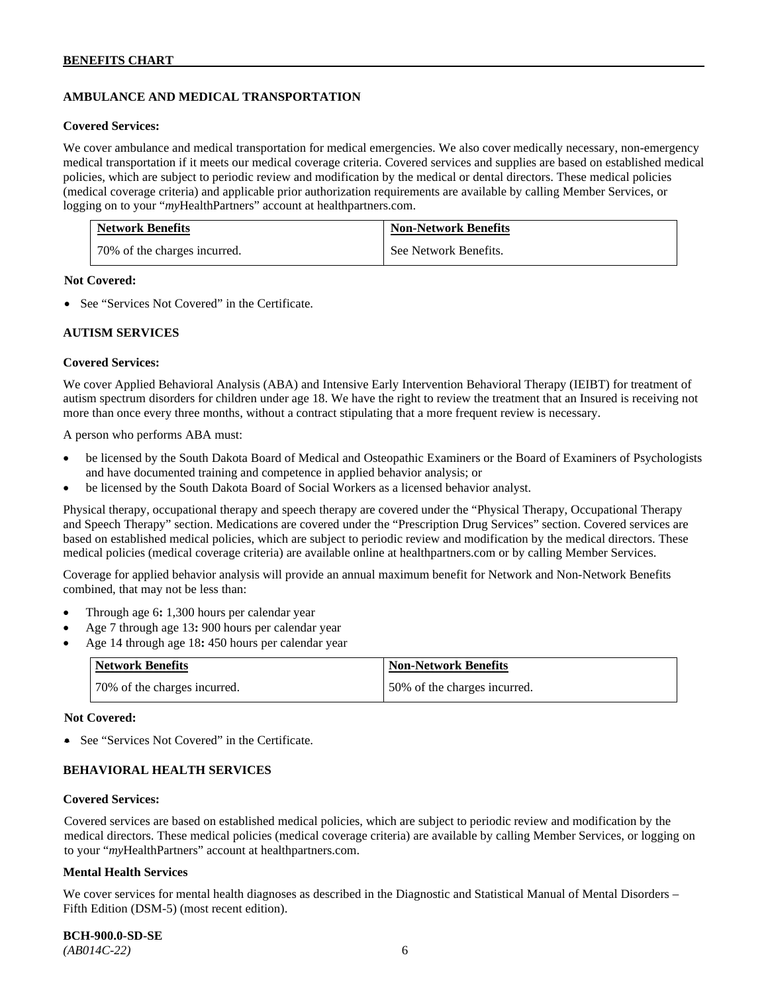# **AMBULANCE AND MEDICAL TRANSPORTATION**

#### **Covered Services:**

We cover ambulance and medical transportation for medical emergencies. We also cover medically necessary, non-emergency medical transportation if it meets our medical coverage criteria. Covered services and supplies are based on established medical policies, which are subject to periodic review and modification by the medical or dental directors. These medical policies (medical coverage criteria) and applicable prior authorization requirements are available by calling Member Services, or logging on to your "*my*HealthPartners" account at [healthpartners.com.](http://healthpartners.com/)

| <b>Network Benefits</b>      | <b>Non-Network Benefits</b> |
|------------------------------|-----------------------------|
| 70% of the charges incurred. | See Network Benefits.       |

#### **Not Covered:**

• See "Services Not Covered" in the Certificate.

#### **AUTISM SERVICES**

#### **Covered Services:**

We cover Applied Behavioral Analysis (ABA) and Intensive Early Intervention Behavioral Therapy (IEIBT) for treatment of autism spectrum disorders for children under age 18. We have the right to review the treatment that an Insured is receiving not more than once every three months, without a contract stipulating that a more frequent review is necessary.

A person who performs ABA must:

- be licensed by the South Dakota Board of Medical and Osteopathic Examiners or the Board of Examiners of Psychologists and have documented training and competence in applied behavior analysis; or
- be licensed by the South Dakota Board of Social Workers as a licensed behavior analyst.

Physical therapy, occupational therapy and speech therapy are covered under the "Physical Therapy, Occupational Therapy and Speech Therapy" section. Medications are covered under the "Prescription Drug Services" section. Covered services are based on established medical policies, which are subject to periodic review and modification by the medical directors. These medical policies (medical coverage criteria) are available online at [healthpartners.com](http://healthpartners.com/) or by calling Member Services.

Coverage for applied behavior analysis will provide an annual maximum benefit for Network and Non-Network Benefits combined, that may not be less than:

- Through age 6**:** 1,300 hours per calendar year
- Age 7 through age 13**:** 900 hours per calendar year
- Age 14 through age 18**:** 450 hours per calendar year

| <b>Network Benefits</b>      | <b>Non-Network Benefits</b>  |
|------------------------------|------------------------------|
| 70% of the charges incurred. | 50% of the charges incurred. |

#### **Not Covered:**

• See "Services Not Covered" in the Certificate.

# **BEHAVIORAL HEALTH SERVICES**

#### **Covered Services:**

Covered services are based on established medical policies, which are subject to periodic review and modification by the medical directors. These medical policies (medical coverage criteria) are available by calling Member Services, or logging on to your "*my*HealthPartners" account at [healthpartners.com.](http://healthpartners.com/)

#### **Mental Health Services**

We cover services for mental health diagnoses as described in the Diagnostic and Statistical Manual of Mental Disorders – Fifth Edition (DSM-5) (most recent edition).

**BCH-900.0-SD-SE**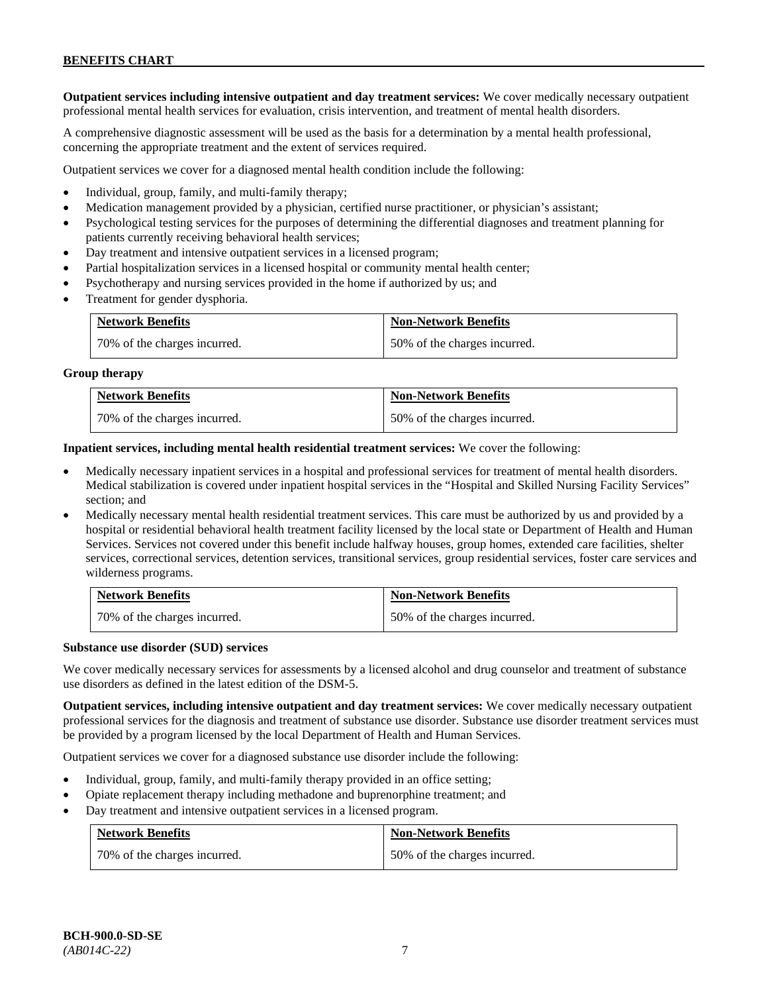**Outpatient services including intensive outpatient and day treatment services:** We cover medically necessary outpatient professional mental health services for evaluation, crisis intervention, and treatment of mental health disorders.

A comprehensive diagnostic assessment will be used as the basis for a determination by a mental health professional, concerning the appropriate treatment and the extent of services required.

Outpatient services we cover for a diagnosed mental health condition include the following:

- Individual, group, family, and multi-family therapy;
- Medication management provided by a physician, certified nurse practitioner, or physician's assistant;
- Psychological testing services for the purposes of determining the differential diagnoses and treatment planning for patients currently receiving behavioral health services;
- Day treatment and intensive outpatient services in a licensed program;
- Partial hospitalization services in a licensed hospital or community mental health center;
- Psychotherapy and nursing services provided in the home if authorized by us; and
- Treatment for gender dysphoria.

| <b>Network Benefits</b>      | <b>Non-Network Benefits</b>  |
|------------------------------|------------------------------|
| 70% of the charges incurred. | 50% of the charges incurred. |

#### **Group therapy**

| <b>Network Benefits</b>      | <b>Non-Network Benefits</b>  |
|------------------------------|------------------------------|
| 70% of the charges incurred. | 50% of the charges incurred. |

**Inpatient services, including mental health residential treatment services:** We cover the following:

- Medically necessary inpatient services in a hospital and professional services for treatment of mental health disorders. Medical stabilization is covered under inpatient hospital services in the "Hospital and Skilled Nursing Facility Services" section; and
- Medically necessary mental health residential treatment services. This care must be authorized by us and provided by a hospital or residential behavioral health treatment facility licensed by the local state or Department of Health and Human Services. Services not covered under this benefit include halfway houses, group homes, extended care facilities, shelter services, correctional services, detention services, transitional services, group residential services, foster care services and wilderness programs.

| <b>Network Benefits</b>      | <b>Non-Network Benefits</b>  |
|------------------------------|------------------------------|
| 70% of the charges incurred. | 50% of the charges incurred. |

#### **Substance use disorder (SUD) services**

We cover medically necessary services for assessments by a licensed alcohol and drug counselor and treatment of substance use disorders as defined in the latest edition of the DSM-5.

**Outpatient services, including intensive outpatient and day treatment services:** We cover medically necessary outpatient professional services for the diagnosis and treatment of substance use disorder. Substance use disorder treatment services must be provided by a program licensed by the local Department of Health and Human Services.

Outpatient services we cover for a diagnosed substance use disorder include the following:

- Individual, group, family, and multi-family therapy provided in an office setting;
- Opiate replacement therapy including methadone and buprenorphine treatment; and
- Day treatment and intensive outpatient services in a licensed program.

| <b>Network Benefits</b>      | <b>Non-Network Benefits</b>  |
|------------------------------|------------------------------|
| 70% of the charges incurred. | 50% of the charges incurred. |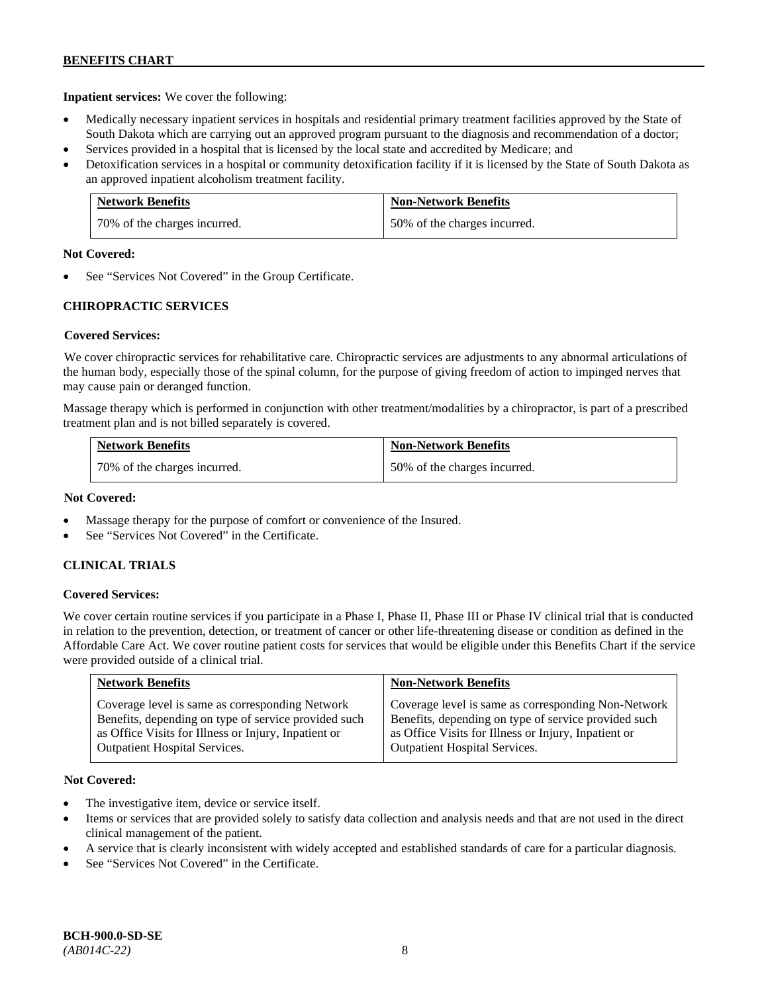**Inpatient services:** We cover the following:

- Medically necessary inpatient services in hospitals and residential primary treatment facilities approved by the State of South Dakota which are carrying out an approved program pursuant to the diagnosis and recommendation of a doctor;
- Services provided in a hospital that is licensed by the local state and accredited by Medicare; and
- Detoxification services in a hospital or community detoxification facility if it is licensed by the State of South Dakota as an approved inpatient alcoholism treatment facility.

| <b>Network Benefits</b>      | <b>Non-Network Benefits</b>  |
|------------------------------|------------------------------|
| 70% of the charges incurred. | 50% of the charges incurred. |

#### **Not Covered:**

See "Services Not Covered" in the Group Certificate.

# **CHIROPRACTIC SERVICES**

# **Covered Services:**

We cover chiropractic services for rehabilitative care. Chiropractic services are adjustments to any abnormal articulations of the human body, especially those of the spinal column, for the purpose of giving freedom of action to impinged nerves that may cause pain or deranged function.

Massage therapy which is performed in conjunction with other treatment/modalities by a chiropractor, is part of a prescribed treatment plan and is not billed separately is covered.

| <b>Network Benefits</b>      | <b>Non-Network Benefits</b>  |
|------------------------------|------------------------------|
| 70% of the charges incurred. | 50% of the charges incurred. |

### **Not Covered:**

- Massage therapy for the purpose of comfort or convenience of the Insured.
- See "Services Not Covered" in the Certificate.

# **CLINICAL TRIALS**

# **Covered Services:**

We cover certain routine services if you participate in a Phase I, Phase II, Phase III or Phase IV clinical trial that is conducted in relation to the prevention, detection, or treatment of cancer or other life-threatening disease or condition as defined in the Affordable Care Act. We cover routine patient costs for services that would be eligible under this Benefits Chart if the service were provided outside of a clinical trial.

| <b>Network Benefits</b>                              | <b>Non-Network Benefits</b>                          |
|------------------------------------------------------|------------------------------------------------------|
| Coverage level is same as corresponding Network      | Coverage level is same as corresponding Non-Network  |
| Benefits, depending on type of service provided such | Benefits, depending on type of service provided such |
| as Office Visits for Illness or Injury, Inpatient or | as Office Visits for Illness or Injury, Inpatient or |
| <b>Outpatient Hospital Services.</b>                 | <b>Outpatient Hospital Services.</b>                 |

# **Not Covered:**

- The investigative item, device or service itself.
- Items or services that are provided solely to satisfy data collection and analysis needs and that are not used in the direct clinical management of the patient.
- A service that is clearly inconsistent with widely accepted and established standards of care for a particular diagnosis.
- See "Services Not Covered" in the Certificate.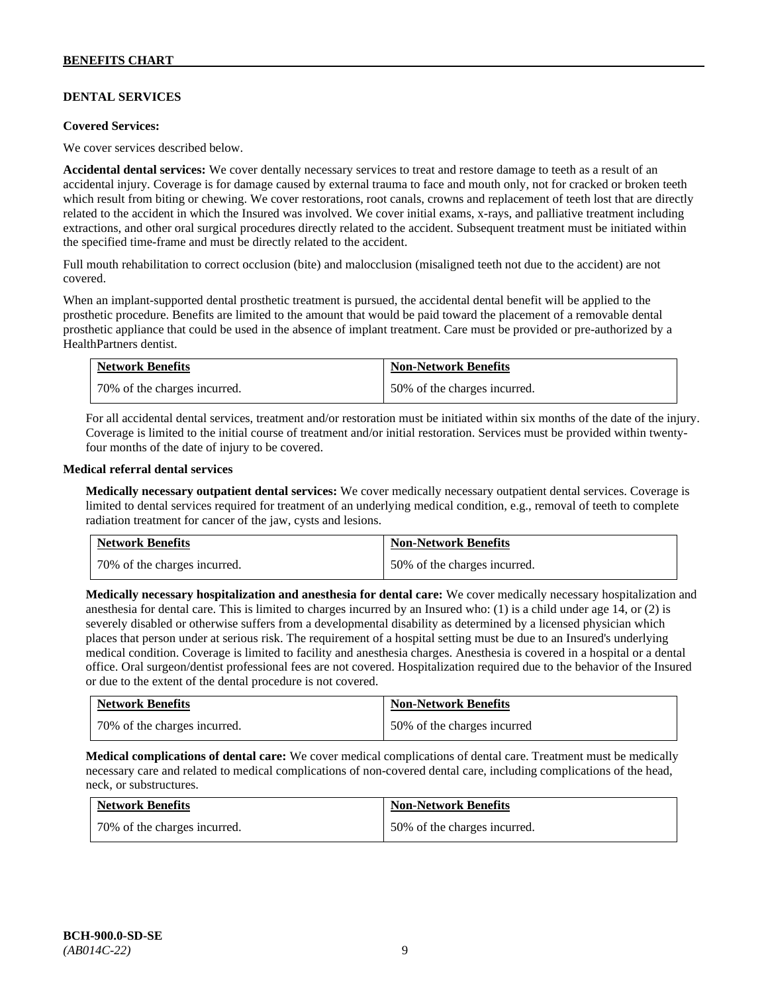# **DENTAL SERVICES**

#### **Covered Services:**

We cover services described below.

**Accidental dental services:** We cover dentally necessary services to treat and restore damage to teeth as a result of an accidental injury. Coverage is for damage caused by external trauma to face and mouth only, not for cracked or broken teeth which result from biting or chewing. We cover restorations, root canals, crowns and replacement of teeth lost that are directly related to the accident in which the Insured was involved. We cover initial exams, x-rays, and palliative treatment including extractions, and other oral surgical procedures directly related to the accident. Subsequent treatment must be initiated within the specified time-frame and must be directly related to the accident.

Full mouth rehabilitation to correct occlusion (bite) and malocclusion (misaligned teeth not due to the accident) are not covered.

When an implant-supported dental prosthetic treatment is pursued, the accidental dental benefit will be applied to the prosthetic procedure. Benefits are limited to the amount that would be paid toward the placement of a removable dental prosthetic appliance that could be used in the absence of implant treatment. Care must be provided or pre-authorized by a HealthPartners dentist.

| <b>Network Benefits</b>      | <b>Non-Network Benefits</b>  |
|------------------------------|------------------------------|
| 70% of the charges incurred. | 50% of the charges incurred. |

For all accidental dental services, treatment and/or restoration must be initiated within six months of the date of the injury. Coverage is limited to the initial course of treatment and/or initial restoration. Services must be provided within twentyfour months of the date of injury to be covered.

#### **Medical referral dental services**

**Medically necessary outpatient dental services:** We cover medically necessary outpatient dental services. Coverage is limited to dental services required for treatment of an underlying medical condition, e.g., removal of teeth to complete radiation treatment for cancer of the jaw, cysts and lesions.

| <b>Network Benefits</b>      | <b>Non-Network Benefits</b>  |
|------------------------------|------------------------------|
| 70% of the charges incurred. | 50% of the charges incurred. |

**Medically necessary hospitalization and anesthesia for dental care:** We cover medically necessary hospitalization and anesthesia for dental care. This is limited to charges incurred by an Insured who: (1) is a child under age 14, or (2) is severely disabled or otherwise suffers from a developmental disability as determined by a licensed physician which places that person under at serious risk. The requirement of a hospital setting must be due to an Insured's underlying medical condition. Coverage is limited to facility and anesthesia charges. Anesthesia is covered in a hospital or a dental office. Oral surgeon/dentist professional fees are not covered. Hospitalization required due to the behavior of the Insured or due to the extent of the dental procedure is not covered.

| <b>Network Benefits</b>      | <b>Non-Network Benefits</b> |
|------------------------------|-----------------------------|
| 70% of the charges incurred. | 50% of the charges incurred |

**Medical complications of dental care:** We cover medical complications of dental care. Treatment must be medically necessary care and related to medical complications of non-covered dental care, including complications of the head, neck, or substructures.

| <b>Network Benefits</b>      | <b>Non-Network Benefits</b>  |
|------------------------------|------------------------------|
| 70% of the charges incurred. | 50% of the charges incurred. |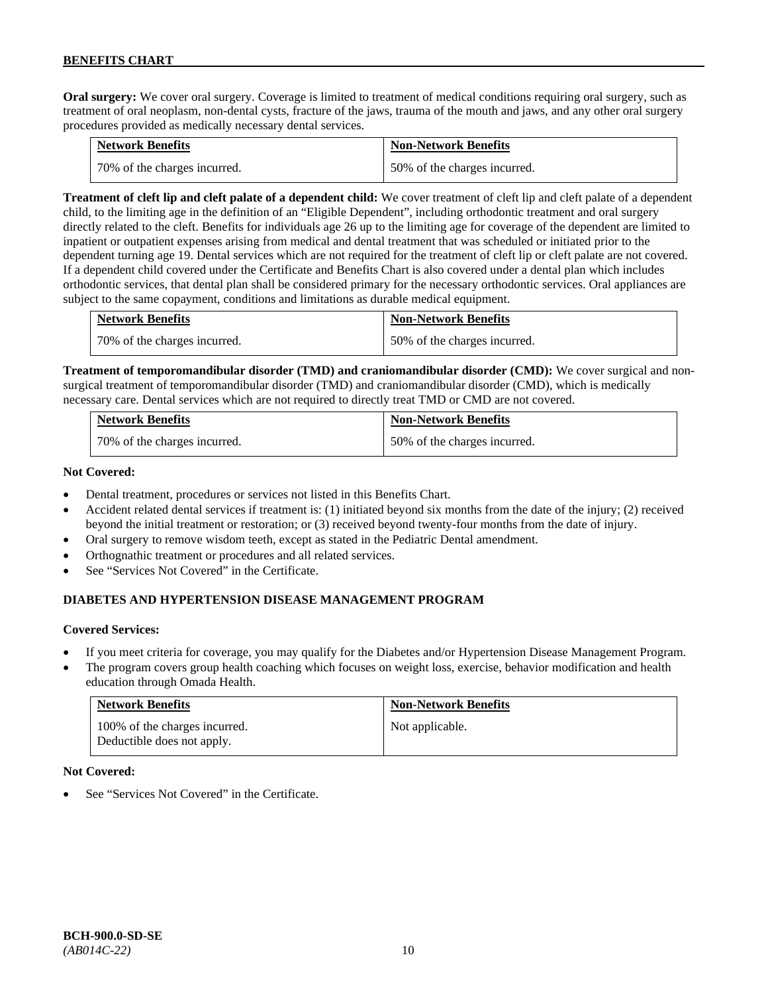**Oral surgery:** We cover oral surgery. Coverage is limited to treatment of medical conditions requiring oral surgery, such as treatment of oral neoplasm, non-dental cysts, fracture of the jaws, trauma of the mouth and jaws, and any other oral surgery procedures provided as medically necessary dental services.

| <b>Network Benefits</b>      | <b>Non-Network Benefits</b>  |
|------------------------------|------------------------------|
| 70% of the charges incurred. | 50% of the charges incurred. |

**Treatment of cleft lip and cleft palate of a dependent child:** We cover treatment of cleft lip and cleft palate of a dependent child, to the limiting age in the definition of an "Eligible Dependent", including orthodontic treatment and oral surgery directly related to the cleft. Benefits for individuals age 26 up to the limiting age for coverage of the dependent are limited to inpatient or outpatient expenses arising from medical and dental treatment that was scheduled or initiated prior to the dependent turning age 19. Dental services which are not required for the treatment of cleft lip or cleft palate are not covered. If a dependent child covered under the Certificate and Benefits Chart is also covered under a dental plan which includes orthodontic services, that dental plan shall be considered primary for the necessary orthodontic services. Oral appliances are subject to the same copayment, conditions and limitations as durable medical equipment.

| <b>Network Benefits</b>      | <b>Non-Network Benefits</b>  |
|------------------------------|------------------------------|
| 70% of the charges incurred. | 50% of the charges incurred. |

**Treatment of temporomandibular disorder (TMD) and craniomandibular disorder (CMD):** We cover surgical and nonsurgical treatment of temporomandibular disorder (TMD) and craniomandibular disorder (CMD), which is medically necessary care. Dental services which are not required to directly treat TMD or CMD are not covered.

| <b>Network Benefits</b>      | <b>Non-Network Benefits</b>  |
|------------------------------|------------------------------|
| 70% of the charges incurred. | 50% of the charges incurred. |

# **Not Covered:**

- Dental treatment, procedures or services not listed in this Benefits Chart.
- Accident related dental services if treatment is: (1) initiated beyond six months from the date of the injury; (2) received beyond the initial treatment or restoration; or (3) received beyond twenty-four months from the date of injury.
- Oral surgery to remove wisdom teeth, except as stated in the Pediatric Dental amendment.
- Orthognathic treatment or procedures and all related services.
- See "Services Not Covered" in the Certificate.

# **DIABETES AND HYPERTENSION DISEASE MANAGEMENT PROGRAM**

# **Covered Services:**

- If you meet criteria for coverage, you may qualify for the Diabetes and/or Hypertension Disease Management Program.
- The program covers group health coaching which focuses on weight loss, exercise, behavior modification and health education through Omada Health.

| <b>Network Benefits</b>                                     | <b>Non-Network Benefits</b> |
|-------------------------------------------------------------|-----------------------------|
| 100% of the charges incurred.<br>Deductible does not apply. | Not applicable.             |

#### **Not Covered:**

See "Services Not Covered" in the Certificate.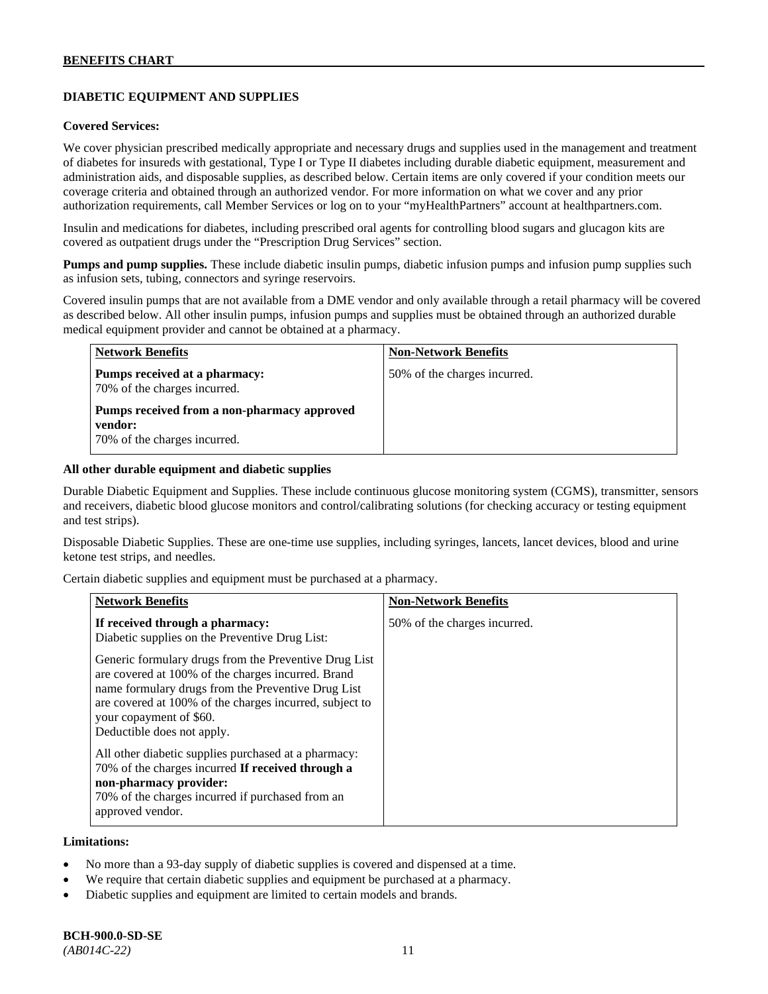# **DIABETIC EQUIPMENT AND SUPPLIES**

#### **Covered Services:**

We cover physician prescribed medically appropriate and necessary drugs and supplies used in the management and treatment of diabetes for insureds with gestational, Type I or Type II diabetes including durable diabetic equipment, measurement and administration aids, and disposable supplies, as described below. Certain items are only covered if your condition meets our coverage criteria and obtained through an authorized vendor. For more information on what we cover and any prior authorization requirements, call Member Services or log on to your "myHealthPartners" account at [healthpartners.com.](http://www.healthpartners.com/)

Insulin and medications for diabetes, including prescribed oral agents for controlling blood sugars and glucagon kits are covered as outpatient drugs under the "Prescription Drug Services" section.

**Pumps and pump supplies.** These include diabetic insulin pumps, diabetic infusion pumps and infusion pump supplies such as infusion sets, tubing, connectors and syringe reservoirs.

Covered insulin pumps that are not available from a DME vendor and only available through a retail pharmacy will be covered as described below. All other insulin pumps, infusion pumps and supplies must be obtained through an authorized durable medical equipment provider and cannot be obtained at a pharmacy.

| <b>Network Benefits</b>                                                                | <b>Non-Network Benefits</b>  |
|----------------------------------------------------------------------------------------|------------------------------|
| Pumps received at a pharmacy:<br>70% of the charges incurred.                          | 50% of the charges incurred. |
| Pumps received from a non-pharmacy approved<br>vendor:<br>70% of the charges incurred. |                              |

#### **All other durable equipment and diabetic supplies**

Durable Diabetic Equipment and Supplies. These include continuous glucose monitoring system (CGMS), transmitter, sensors and receivers, diabetic blood glucose monitors and control/calibrating solutions (for checking accuracy or testing equipment and test strips).

Disposable Diabetic Supplies. These are one-time use supplies, including syringes, lancets, lancet devices, blood and urine ketone test strips, and needles.

Certain diabetic supplies and equipment must be purchased at a pharmacy.

| <b>Network Benefits</b>                                                                                                                                                                                                                                                               | <b>Non-Network Benefits</b>  |
|---------------------------------------------------------------------------------------------------------------------------------------------------------------------------------------------------------------------------------------------------------------------------------------|------------------------------|
| If received through a pharmacy:<br>Diabetic supplies on the Preventive Drug List:                                                                                                                                                                                                     | 50% of the charges incurred. |
| Generic formulary drugs from the Preventive Drug List<br>are covered at 100% of the charges incurred. Brand<br>name formulary drugs from the Preventive Drug List<br>are covered at 100% of the charges incurred, subject to<br>your copayment of \$60.<br>Deductible does not apply. |                              |
| All other diabetic supplies purchased at a pharmacy:<br>70% of the charges incurred If received through a<br>non-pharmacy provider:<br>70% of the charges incurred if purchased from an<br>approved vendor.                                                                           |                              |

#### **Limitations:**

- No more than a 93-day supply of diabetic supplies is covered and dispensed at a time.
- We require that certain diabetic supplies and equipment be purchased at a pharmacy.
- Diabetic supplies and equipment are limited to certain models and brands.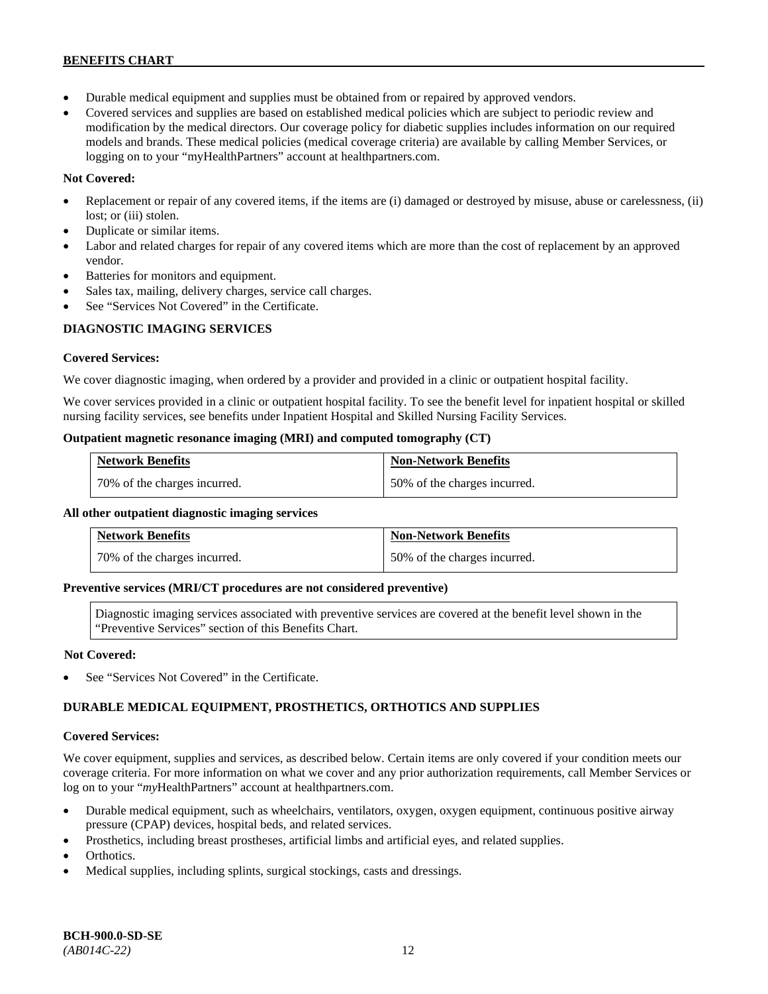- Durable medical equipment and supplies must be obtained from or repaired by approved vendors.
- Covered services and supplies are based on established medical policies which are subject to periodic review and modification by the medical directors. Our coverage policy for diabetic supplies includes information on our required models and brands. These medical policies (medical coverage criteria) are available by calling Member Services, or logging on to your "myHealthPartners" account at [healthpartners.com.](http://www.healthpartners.com/)

# **Not Covered:**

- Replacement or repair of any covered items, if the items are (i) damaged or destroyed by misuse, abuse or carelessness, (ii) lost; or (iii) stolen.
- Duplicate or similar items.
- Labor and related charges for repair of any covered items which are more than the cost of replacement by an approved vendor.
- Batteries for monitors and equipment.
- Sales tax, mailing, delivery charges, service call charges.
- See "Services Not Covered" in the Certificate.

# **DIAGNOSTIC IMAGING SERVICES**

# **Covered Services:**

We cover diagnostic imaging, when ordered by a provider and provided in a clinic or outpatient hospital facility.

We cover services provided in a clinic or outpatient hospital facility. To see the benefit level for inpatient hospital or skilled nursing facility services, see benefits under Inpatient Hospital and Skilled Nursing Facility Services.

# **Outpatient magnetic resonance imaging (MRI) and computed tomography (CT)**

| <b>Network Benefits</b>      | <b>Non-Network Benefits</b>  |
|------------------------------|------------------------------|
| 70% of the charges incurred. | 50% of the charges incurred. |

# **All other outpatient diagnostic imaging services**

| <b>Network Benefits</b>      | <b>Non-Network Benefits</b>  |
|------------------------------|------------------------------|
| 70% of the charges incurred. | 50% of the charges incurred. |

# **Preventive services (MRI/CT procedures are not considered preventive)**

Diagnostic imaging services associated with preventive services are covered at the benefit level shown in the "Preventive Services" section of this Benefits Chart.

# **Not Covered:**

See "Services Not Covered" in the Certificate.

# **DURABLE MEDICAL EQUIPMENT, PROSTHETICS, ORTHOTICS AND SUPPLIES**

# **Covered Services:**

We cover equipment, supplies and services, as described below. Certain items are only covered if your condition meets our coverage criteria. For more information on what we cover and any prior authorization requirements, call Member Services or log on to your "myHealthPartners" account at [healthpartners.com.](http://healthpartners.com/)

- Durable medical equipment, such as wheelchairs, ventilators, oxygen, oxygen equipment, continuous positive airway pressure (CPAP) devices, hospital beds, and related services.
- Prosthetics, including breast prostheses, artificial limbs and artificial eyes, and related supplies.
- Orthotics.
- Medical supplies, including splints, surgical stockings, casts and dressings.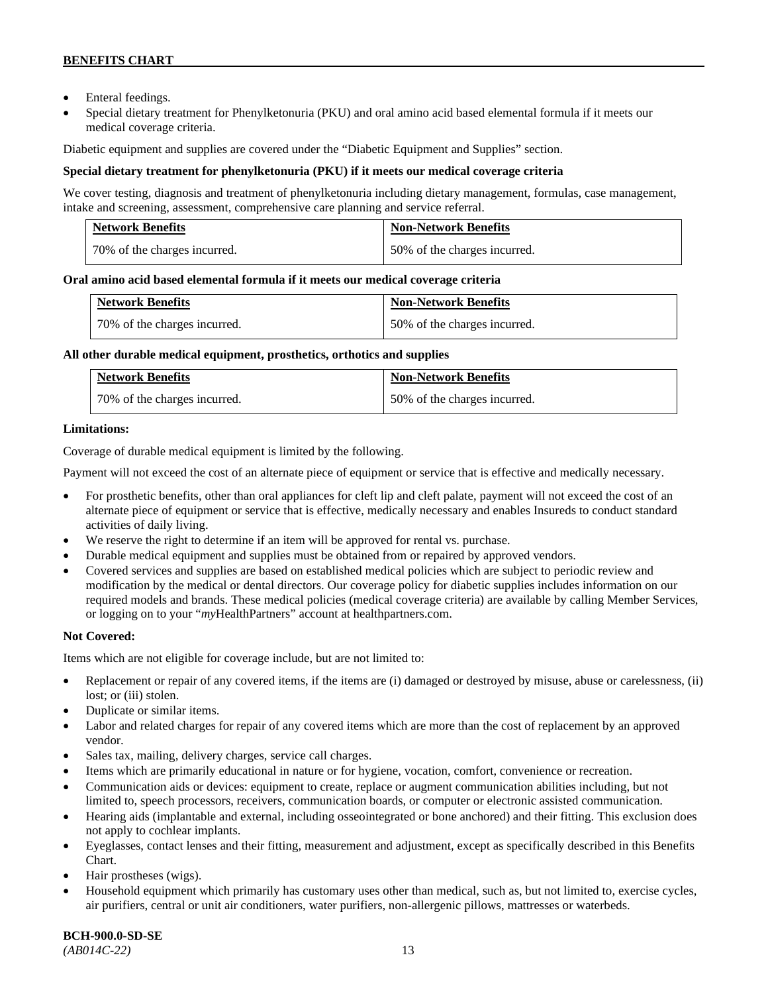- Enteral feedings.
- Special dietary treatment for Phenylketonuria (PKU) and oral amino acid based elemental formula if it meets our medical coverage criteria.

Diabetic equipment and supplies are covered under the "Diabetic Equipment and Supplies" section.

# **Special dietary treatment for phenylketonuria (PKU) if it meets our medical coverage criteria**

We cover testing, diagnosis and treatment of phenylketonuria including dietary management, formulas, case management, intake and screening, assessment, comprehensive care planning and service referral.

| <b>Network Benefits</b>      | <b>Non-Network Benefits</b>  |
|------------------------------|------------------------------|
| 70% of the charges incurred. | 50% of the charges incurred. |

# **Oral amino acid based elemental formula if it meets our medical coverage criteria**

| <b>Network Benefits</b>      | <b>Non-Network Benefits</b>  |
|------------------------------|------------------------------|
| 70% of the charges incurred. | 50% of the charges incurred. |

#### **All other durable medical equipment, prosthetics, orthotics and supplies**

| <b>Network Benefits</b>      | <b>Non-Network Benefits</b>  |
|------------------------------|------------------------------|
| 70% of the charges incurred. | 50% of the charges incurred. |

# **Limitations:**

Coverage of durable medical equipment is limited by the following.

Payment will not exceed the cost of an alternate piece of equipment or service that is effective and medically necessary.

- For prosthetic benefits, other than oral appliances for cleft lip and cleft palate, payment will not exceed the cost of an alternate piece of equipment or service that is effective, medically necessary and enables Insureds to conduct standard activities of daily living.
- We reserve the right to determine if an item will be approved for rental vs. purchase.
- Durable medical equipment and supplies must be obtained from or repaired by approved vendors.
- Covered services and supplies are based on established medical policies which are subject to periodic review and modification by the medical or dental directors. Our coverage policy for diabetic supplies includes information on our required models and brands. These medical policies (medical coverage criteria) are available by calling Member Services, or logging on to your "*my*HealthPartners" account at [healthpartners.com.](http://www.healthpartners.com/)

# **Not Covered:**

Items which are not eligible for coverage include, but are not limited to:

- Replacement or repair of any covered items, if the items are (i) damaged or destroyed by misuse, abuse or carelessness, (ii) lost; or (iii) stolen.
- Duplicate or similar items.
- Labor and related charges for repair of any covered items which are more than the cost of replacement by an approved vendor.
- Sales tax, mailing, delivery charges, service call charges.
- Items which are primarily educational in nature or for hygiene, vocation, comfort, convenience or recreation.
- Communication aids or devices: equipment to create, replace or augment communication abilities including, but not limited to, speech processors, receivers, communication boards, or computer or electronic assisted communication.
- Hearing aids (implantable and external, including osseointegrated or bone anchored) and their fitting. This exclusion does not apply to cochlear implants.
- Eyeglasses, contact lenses and their fitting, measurement and adjustment, except as specifically described in this Benefits Chart.
- Hair prostheses (wigs).
- Household equipment which primarily has customary uses other than medical, such as, but not limited to, exercise cycles, air purifiers, central or unit air conditioners, water purifiers, non-allergenic pillows, mattresses or waterbeds.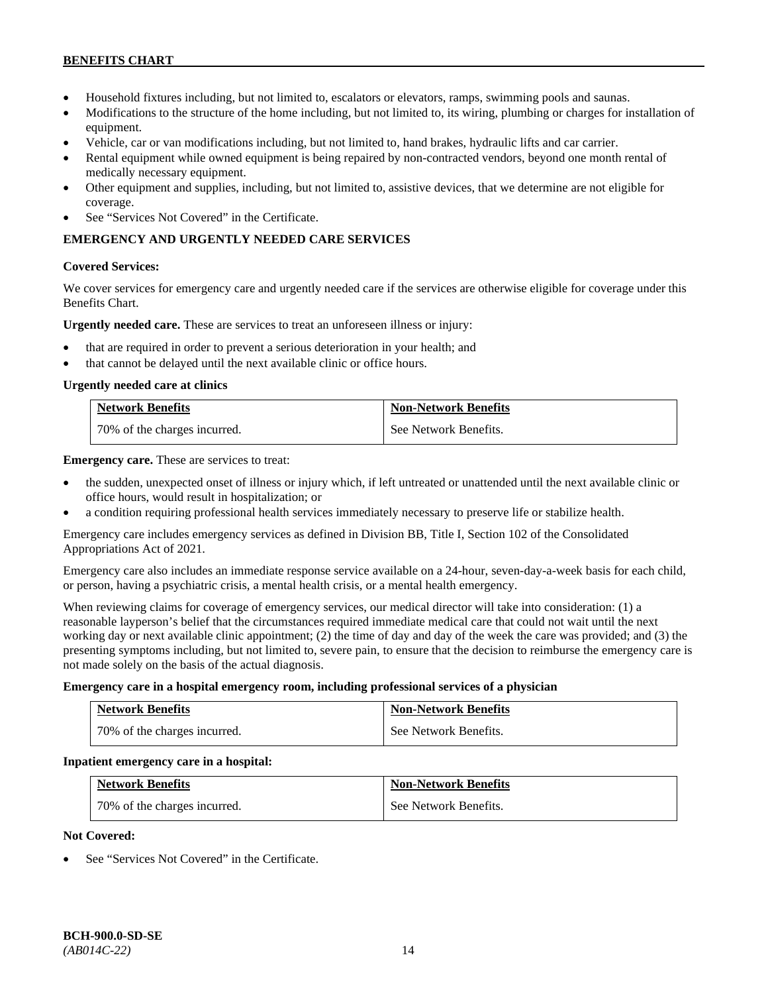- Household fixtures including, but not limited to, escalators or elevators, ramps, swimming pools and saunas.
- Modifications to the structure of the home including, but not limited to, its wiring, plumbing or charges for installation of equipment.
- Vehicle, car or van modifications including, but not limited to, hand brakes, hydraulic lifts and car carrier.
- Rental equipment while owned equipment is being repaired by non-contracted vendors, beyond one month rental of medically necessary equipment.
- Other equipment and supplies, including, but not limited to, assistive devices, that we determine are not eligible for coverage.
- See "Services Not Covered" in the Certificate.

# **EMERGENCY AND URGENTLY NEEDED CARE SERVICES**

#### **Covered Services:**

We cover services for emergency care and urgently needed care if the services are otherwise eligible for coverage under this Benefits Chart.

**Urgently needed care.** These are services to treat an unforeseen illness or injury:

- that are required in order to prevent a serious deterioration in your health; and
- that cannot be delayed until the next available clinic or office hours.

#### **Urgently needed care at clinics**

| <b>Network Benefits</b>      | <b>Non-Network Benefits</b> |
|------------------------------|-----------------------------|
| 70% of the charges incurred. | See Network Benefits.       |

**Emergency care.** These are services to treat:

- the sudden, unexpected onset of illness or injury which, if left untreated or unattended until the next available clinic or office hours, would result in hospitalization; or
- a condition requiring professional health services immediately necessary to preserve life or stabilize health.

Emergency care includes emergency services as defined in Division BB, Title I, Section 102 of the Consolidated Appropriations Act of 2021.

Emergency care also includes an immediate response service available on a 24-hour, seven-day-a-week basis for each child, or person, having a psychiatric crisis, a mental health crisis, or a mental health emergency.

When reviewing claims for coverage of emergency services, our medical director will take into consideration: (1) a reasonable layperson's belief that the circumstances required immediate medical care that could not wait until the next working day or next available clinic appointment; (2) the time of day and day of the week the care was provided; and (3) the presenting symptoms including, but not limited to, severe pain, to ensure that the decision to reimburse the emergency care is not made solely on the basis of the actual diagnosis.

#### **Emergency care in a hospital emergency room, including professional services of a physician**

| <b>Network Benefits</b>      | <b>Non-Network Benefits</b> |
|------------------------------|-----------------------------|
| 70% of the charges incurred. | See Network Benefits.       |

#### **Inpatient emergency care in a hospital:**

| <b>Network Benefits</b>      | <b>Non-Network Benefits</b> |
|------------------------------|-----------------------------|
| 70% of the charges incurred. | See Network Benefits.       |

# **Not Covered:**

See "Services Not Covered" in the Certificate.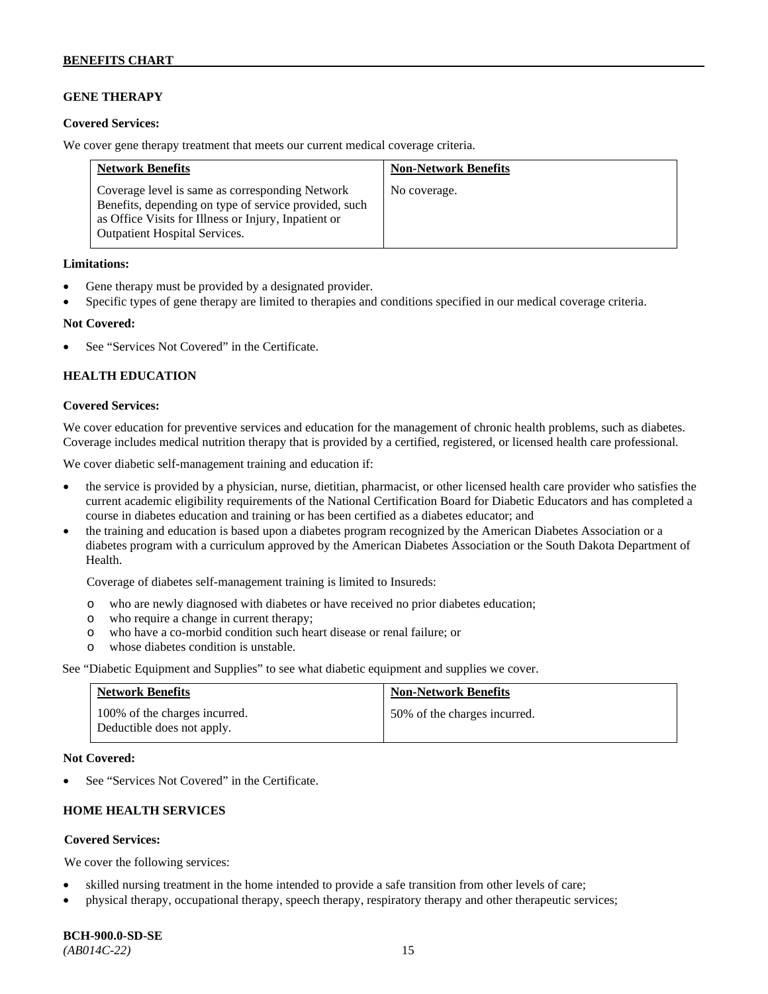# **GENE THERAPY**

#### **Covered Services:**

We cover gene therapy treatment that meets our current medical coverage criteria.

| <b>Network Benefits</b>                                                                                                                                                                                  | <b>Non-Network Benefits</b> |
|----------------------------------------------------------------------------------------------------------------------------------------------------------------------------------------------------------|-----------------------------|
| Coverage level is same as corresponding Network<br>Benefits, depending on type of service provided, such<br>as Office Visits for Illness or Injury, Inpatient or<br><b>Outpatient Hospital Services.</b> | No coverage.                |

#### **Limitations:**

- Gene therapy must be provided by a designated provider.
- Specific types of gene therapy are limited to therapies and conditions specified in our medical coverage criteria.

#### **Not Covered:**

See "Services Not Covered" in the Certificate.

# **HEALTH EDUCATION**

#### **Covered Services:**

We cover education for preventive services and education for the management of chronic health problems, such as diabetes. Coverage includes medical nutrition therapy that is provided by a certified, registered, or licensed health care professional.

We cover diabetic self-management training and education if:

- the service is provided by a physician, nurse, dietitian, pharmacist, or other licensed health care provider who satisfies the current academic eligibility requirements of the National Certification Board for Diabetic Educators and has completed a course in diabetes education and training or has been certified as a diabetes educator; and
- the training and education is based upon a diabetes program recognized by the American Diabetes Association or a diabetes program with a curriculum approved by the American Diabetes Association or the South Dakota Department of Health.

Coverage of diabetes self-management training is limited to Insureds:

- o who are newly diagnosed with diabetes or have received no prior diabetes education;
- o who require a change in current therapy;<br>o who have a co-morbid condition such heal
- who have a co-morbid condition such heart disease or renal failure; or
- o whose diabetes condition is unstable.

See "Diabetic Equipment and Supplies" to see what diabetic equipment and supplies we cover.

| <b>Network Benefits</b>                                     | <b>Non-Network Benefits</b>  |
|-------------------------------------------------------------|------------------------------|
| 100% of the charges incurred.<br>Deductible does not apply. | 50% of the charges incurred. |

#### **Not Covered:**

See "Services Not Covered" in the Certificate.

# **HOME HEALTH SERVICES**

# **Covered Services:**

We cover the following services:

- skilled nursing treatment in the home intended to provide a safe transition from other levels of care;
- physical therapy, occupational therapy, speech therapy, respiratory therapy and other therapeutic services;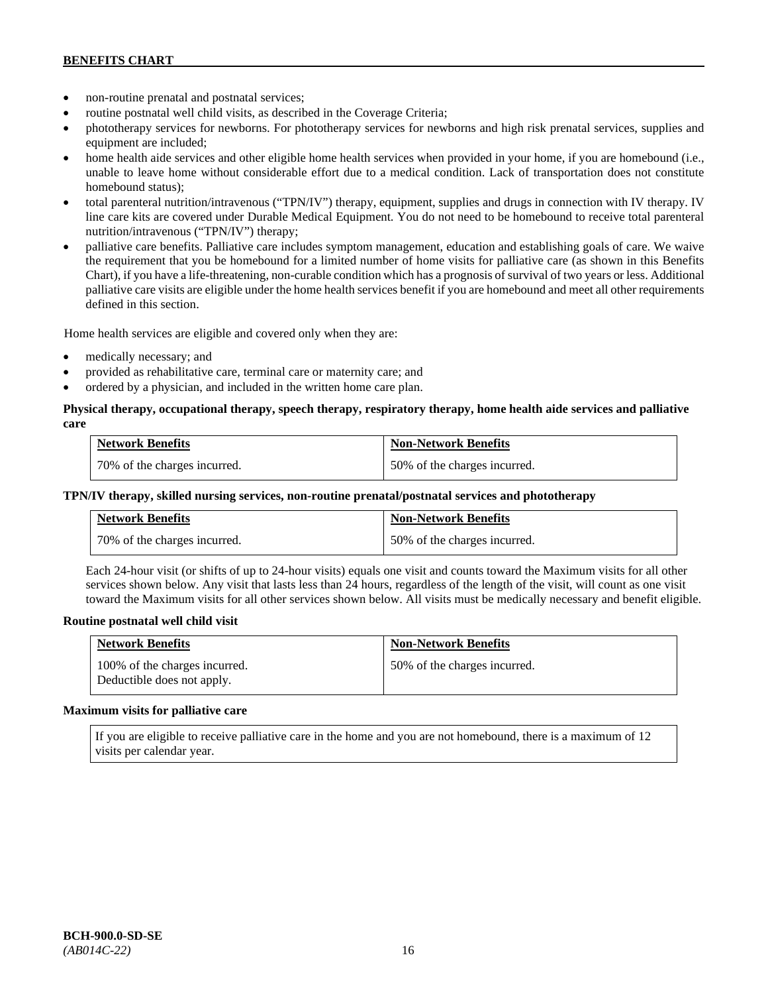- non-routine prenatal and postnatal services;
- routine postnatal well child visits, as described in the Coverage Criteria;
- phototherapy services for newborns. For phototherapy services for newborns and high risk prenatal services, supplies and equipment are included;
- home health aide services and other eligible home health services when provided in your home, if you are homebound (i.e., unable to leave home without considerable effort due to a medical condition. Lack of transportation does not constitute homebound status);
- total parenteral nutrition/intravenous ("TPN/IV") therapy, equipment, supplies and drugs in connection with IV therapy. IV line care kits are covered under Durable Medical Equipment. You do not need to be homebound to receive total parenteral nutrition/intravenous ("TPN/IV") therapy;
- palliative care benefits. Palliative care includes symptom management, education and establishing goals of care. We waive the requirement that you be homebound for a limited number of home visits for palliative care (as shown in this Benefits Chart), if you have a life-threatening, non-curable condition which has a prognosis of survival of two years or less. Additional palliative care visits are eligible under the home health services benefit if you are homebound and meet all other requirements defined in this section.

Home health services are eligible and covered only when they are:

- medically necessary; and
- provided as rehabilitative care, terminal care or maternity care; and
- ordered by a physician, and included in the written home care plan.

# **Physical therapy, occupational therapy, speech therapy, respiratory therapy, home health aide services and palliative care**

| <b>Network Benefits</b>      | <b>Non-Network Benefits</b>  |
|------------------------------|------------------------------|
| 70% of the charges incurred. | 50% of the charges incurred. |

#### **TPN/IV therapy, skilled nursing services, non-routine prenatal/postnatal services and phototherapy**

| <b>Network Benefits</b>        | <b>Non-Network Benefits</b>  |
|--------------------------------|------------------------------|
| 1 70% of the charges incurred. | 50% of the charges incurred. |

Each 24-hour visit (or shifts of up to 24-hour visits) equals one visit and counts toward the Maximum visits for all other services shown below. Any visit that lasts less than 24 hours, regardless of the length of the visit, will count as one visit toward the Maximum visits for all other services shown below. All visits must be medically necessary and benefit eligible.

#### **Routine postnatal well child visit**

| <b>Network Benefits</b>                                     | <b>Non-Network Benefits</b>  |
|-------------------------------------------------------------|------------------------------|
| 100% of the charges incurred.<br>Deductible does not apply. | 50% of the charges incurred. |

#### **Maximum visits for palliative care**

If you are eligible to receive palliative care in the home and you are not homebound, there is a maximum of 12 visits per calendar year.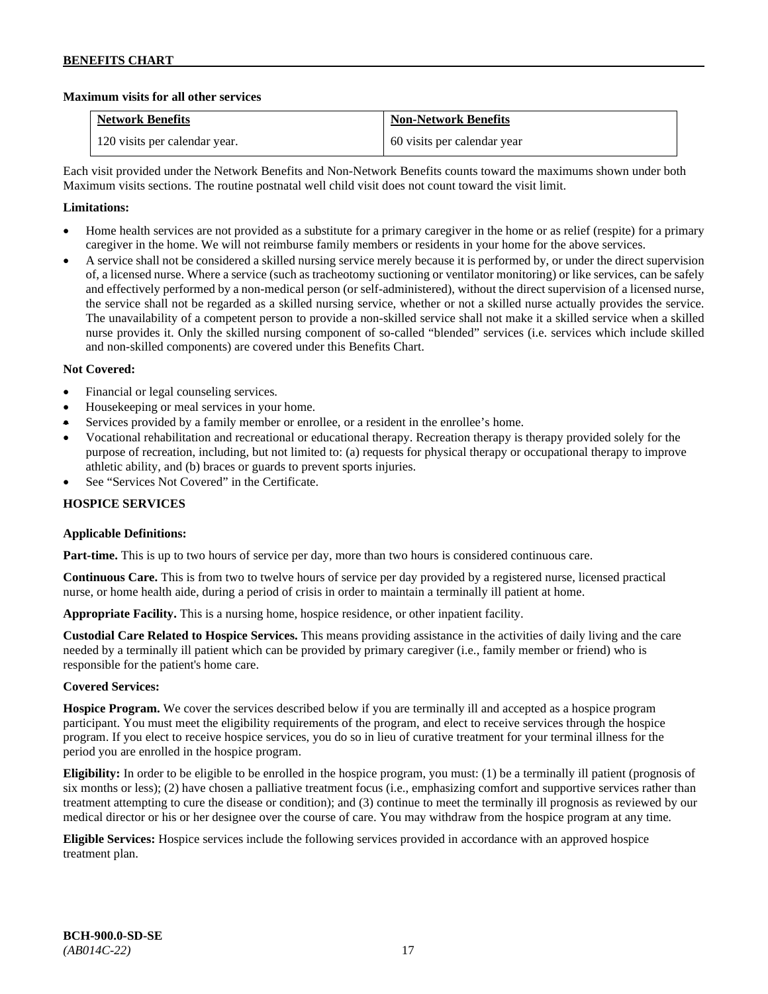# **Maximum visits for all other services**

| <b>Network Benefits</b>       | <b>Non-Network Benefits</b> |
|-------------------------------|-----------------------------|
| 120 visits per calendar year. | 60 visits per calendar year |

Each visit provided under the Network Benefits and Non-Network Benefits counts toward the maximums shown under both Maximum visits sections. The routine postnatal well child visit does not count toward the visit limit.

# **Limitations:**

- Home health services are not provided as a substitute for a primary caregiver in the home or as relief (respite) for a primary caregiver in the home. We will not reimburse family members or residents in your home for the above services.
- A service shall not be considered a skilled nursing service merely because it is performed by, or under the direct supervision of, a licensed nurse. Where a service (such as tracheotomy suctioning or ventilator monitoring) or like services, can be safely and effectively performed by a non-medical person (or self-administered), without the direct supervision of a licensed nurse, the service shall not be regarded as a skilled nursing service, whether or not a skilled nurse actually provides the service. The unavailability of a competent person to provide a non-skilled service shall not make it a skilled service when a skilled nurse provides it. Only the skilled nursing component of so-called "blended" services (i.e. services which include skilled and non-skilled components) are covered under this Benefits Chart.

# **Not Covered:**

- Financial or legal counseling services.
- Housekeeping or meal services in your home.
- Services provided by a family member or enrollee, or a resident in the enrollee's home.
- Vocational rehabilitation and recreational or educational therapy. Recreation therapy is therapy provided solely for the purpose of recreation, including, but not limited to: (a) requests for physical therapy or occupational therapy to improve athletic ability, and (b) braces or guards to prevent sports injuries.
- See "Services Not Covered" in the Certificate.

# **HOSPICE SERVICES**

# **Applicable Definitions:**

**Part-time.** This is up to two hours of service per day, more than two hours is considered continuous care.

**Continuous Care.** This is from two to twelve hours of service per day provided by a registered nurse, licensed practical nurse, or home health aide, during a period of crisis in order to maintain a terminally ill patient at home.

**Appropriate Facility.** This is a nursing home, hospice residence, or other inpatient facility.

**Custodial Care Related to Hospice Services.** This means providing assistance in the activities of daily living and the care needed by a terminally ill patient which can be provided by primary caregiver (i.e., family member or friend) who is responsible for the patient's home care.

# **Covered Services:**

**Hospice Program.** We cover the services described below if you are terminally ill and accepted as a hospice program participant. You must meet the eligibility requirements of the program, and elect to receive services through the hospice program. If you elect to receive hospice services, you do so in lieu of curative treatment for your terminal illness for the period you are enrolled in the hospice program.

**Eligibility:** In order to be eligible to be enrolled in the hospice program, you must: (1) be a terminally ill patient (prognosis of six months or less); (2) have chosen a palliative treatment focus (i.e., emphasizing comfort and supportive services rather than treatment attempting to cure the disease or condition); and (3) continue to meet the terminally ill prognosis as reviewed by our medical director or his or her designee over the course of care. You may withdraw from the hospice program at any time.

**Eligible Services:** Hospice services include the following services provided in accordance with an approved hospice treatment plan.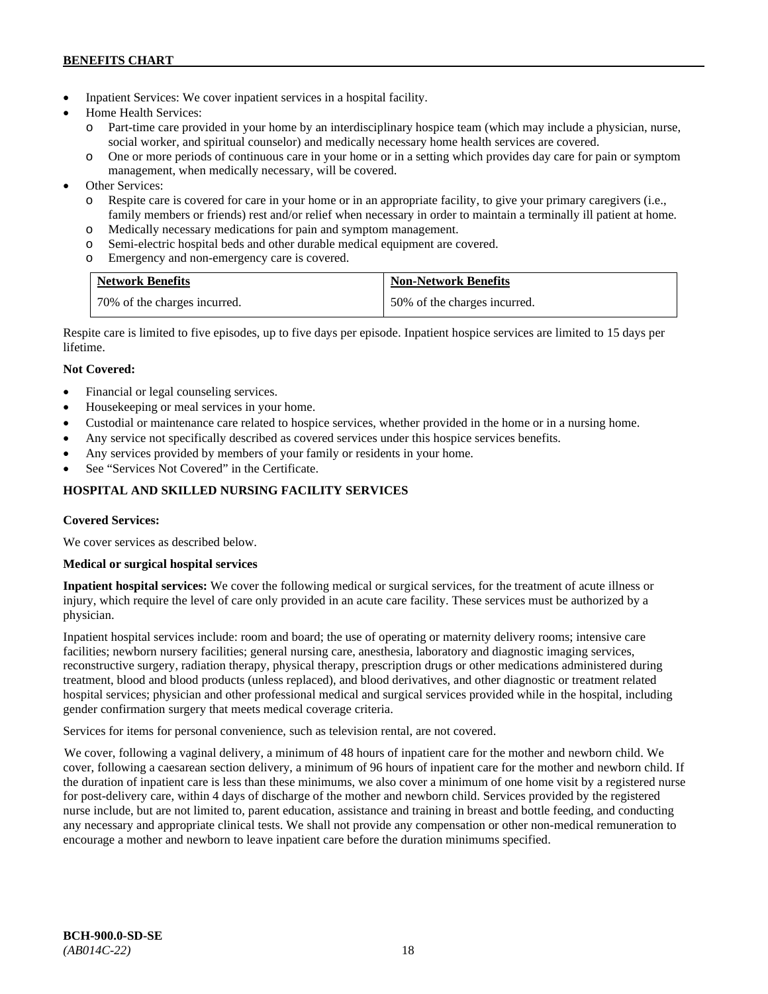- Inpatient Services: We cover inpatient services in a hospital facility.
- Home Health Services:
	- Part-time care provided in your home by an interdisciplinary hospice team (which may include a physician, nurse, social worker, and spiritual counselor) and medically necessary home health services are covered.
	- o One or more periods of continuous care in your home or in a setting which provides day care for pain or symptom management, when medically necessary, will be covered.
- Other Services:
	- o Respite care is covered for care in your home or in an appropriate facility, to give your primary caregivers (i.e., family members or friends) rest and/or relief when necessary in order to maintain a terminally ill patient at home*.*
	- o Medically necessary medications for pain and symptom management.
	- o Semi-electric hospital beds and other durable medical equipment are covered.
	- o Emergency and non-emergency care is covered.

| <b>Network Benefits</b>      | <b>Non-Network Benefits</b>  |
|------------------------------|------------------------------|
| 70% of the charges incurred. | 50% of the charges incurred. |

Respite care is limited to five episodes, up to five days per episode. Inpatient hospice services are limited to 15 days per lifetime.

# **Not Covered:**

- Financial or legal counseling services.
- Housekeeping or meal services in your home.
- Custodial or maintenance care related to hospice services, whether provided in the home or in a nursing home.
- Any service not specifically described as covered services under this hospice services benefits.
- Any services provided by members of your family or residents in your home.
- See "Services Not Covered" in the Certificate.

# **HOSPITAL AND SKILLED NURSING FACILITY SERVICES**

# **Covered Services:**

We cover services as described below.

# **Medical or surgical hospital services**

**Inpatient hospital services:** We cover the following medical or surgical services, for the treatment of acute illness or injury, which require the level of care only provided in an acute care facility. These services must be authorized by a physician.

Inpatient hospital services include: room and board; the use of operating or maternity delivery rooms; intensive care facilities; newborn nursery facilities; general nursing care, anesthesia, laboratory and diagnostic imaging services, reconstructive surgery, radiation therapy, physical therapy, prescription drugs or other medications administered during treatment, blood and blood products (unless replaced), and blood derivatives, and other diagnostic or treatment related hospital services; physician and other professional medical and surgical services provided while in the hospital, including gender confirmation surgery that meets medical coverage criteria.

Services for items for personal convenience, such as television rental, are not covered.

We cover, following a vaginal delivery, a minimum of 48 hours of inpatient care for the mother and newborn child. We cover, following a caesarean section delivery, a minimum of 96 hours of inpatient care for the mother and newborn child. If the duration of inpatient care is less than these minimums, we also cover a minimum of one home visit by a registered nurse for post-delivery care, within 4 days of discharge of the mother and newborn child. Services provided by the registered nurse include, but are not limited to, parent education, assistance and training in breast and bottle feeding, and conducting any necessary and appropriate clinical tests. We shall not provide any compensation or other non-medical remuneration to encourage a mother and newborn to leave inpatient care before the duration minimums specified.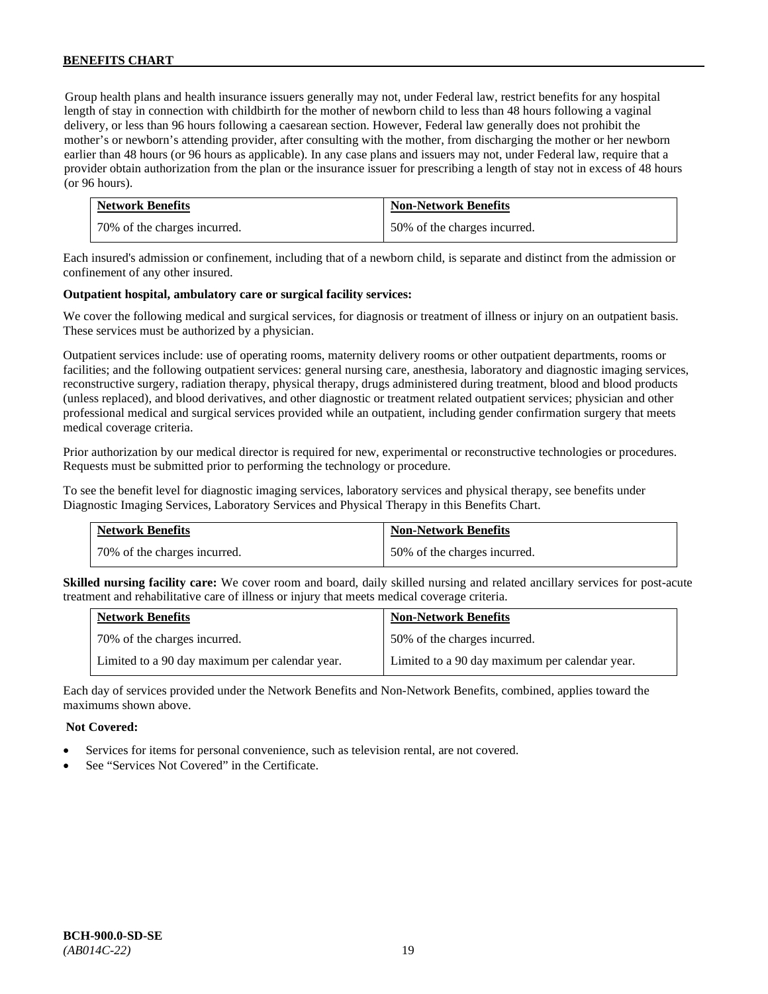Group health plans and health insurance issuers generally may not, under Federal law, restrict benefits for any hospital length of stay in connection with childbirth for the mother of newborn child to less than 48 hours following a vaginal delivery, or less than 96 hours following a caesarean section. However, Federal law generally does not prohibit the mother's or newborn's attending provider, after consulting with the mother, from discharging the mother or her newborn earlier than 48 hours (or 96 hours as applicable). In any case plans and issuers may not, under Federal law, require that a provider obtain authorization from the plan or the insurance issuer for prescribing a length of stay not in excess of 48 hours (or 96 hours).

| <b>Network Benefits</b>      | <b>Non-Network Benefits</b>  |
|------------------------------|------------------------------|
| 70% of the charges incurred. | 50% of the charges incurred. |

Each insured's admission or confinement, including that of a newborn child, is separate and distinct from the admission or confinement of any other insured.

#### **Outpatient hospital, ambulatory care or surgical facility services:**

We cover the following medical and surgical services, for diagnosis or treatment of illness or injury on an outpatient basis. These services must be authorized by a physician.

Outpatient services include: use of operating rooms, maternity delivery rooms or other outpatient departments, rooms or facilities; and the following outpatient services: general nursing care, anesthesia, laboratory and diagnostic imaging services, reconstructive surgery, radiation therapy, physical therapy, drugs administered during treatment, blood and blood products (unless replaced), and blood derivatives, and other diagnostic or treatment related outpatient services; physician and other professional medical and surgical services provided while an outpatient, including gender confirmation surgery that meets medical coverage criteria.

Prior authorization by our medical director is required for new, experimental or reconstructive technologies or procedures. Requests must be submitted prior to performing the technology or procedure.

To see the benefit level for diagnostic imaging services, laboratory services and physical therapy, see benefits under Diagnostic Imaging Services, Laboratory Services and Physical Therapy in this Benefits Chart.

| <b>Network Benefits</b>        | <b>Non-Network Benefits</b>  |
|--------------------------------|------------------------------|
| 1 70% of the charges incurred. | 50% of the charges incurred. |

**Skilled nursing facility care:** We cover room and board, daily skilled nursing and related ancillary services for post-acute treatment and rehabilitative care of illness or injury that meets medical coverage criteria.

| <b>Network Benefits</b>                        | <b>Non-Network Benefits</b>                    |
|------------------------------------------------|------------------------------------------------|
| 70% of the charges incurred.                   | 50% of the charges incurred.                   |
| Limited to a 90 day maximum per calendar year. | Limited to a 90 day maximum per calendar year. |

Each day of services provided under the Network Benefits and Non-Network Benefits, combined, applies toward the maximums shown above.

### **Not Covered:**

- Services for items for personal convenience, such as television rental, are not covered.
- See "Services Not Covered" in the Certificate.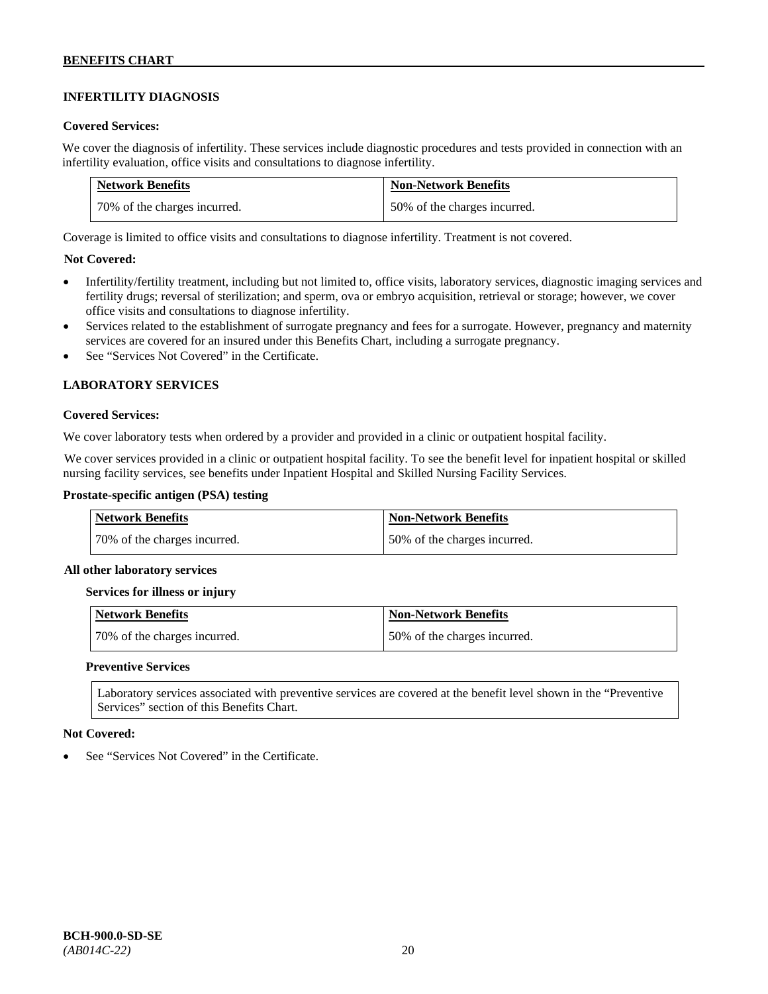# **INFERTILITY DIAGNOSIS**

#### **Covered Services:**

We cover the diagnosis of infertility. These services include diagnostic procedures and tests provided in connection with an infertility evaluation, office visits and consultations to diagnose infertility.

| <b>Network Benefits</b>      | <b>Non-Network Benefits</b>  |
|------------------------------|------------------------------|
| 70% of the charges incurred. | 50% of the charges incurred. |

Coverage is limited to office visits and consultations to diagnose infertility. Treatment is not covered.

# **Not Covered:**

- Infertility/fertility treatment, including but not limited to, office visits, laboratory services, diagnostic imaging services and fertility drugs; reversal of sterilization; and sperm, ova or embryo acquisition, retrieval or storage; however, we cover office visits and consultations to diagnose infertility.
- Services related to the establishment of surrogate pregnancy and fees for a surrogate. However, pregnancy and maternity services are covered for an insured under this Benefits Chart, including a surrogate pregnancy.
- See "Services Not Covered" in the Certificate.

# **LABORATORY SERVICES**

#### **Covered Services:**

We cover laboratory tests when ordered by a provider and provided in a clinic or outpatient hospital facility.

We cover services provided in a clinic or outpatient hospital facility. To see the benefit level for inpatient hospital or skilled nursing facility services, see benefits under Inpatient Hospital and Skilled Nursing Facility Services.

### **Prostate-specific antigen (PSA) testing**

| <b>Network Benefits</b>      | <b>Non-Network Benefits</b>  |
|------------------------------|------------------------------|
| 70% of the charges incurred. | 50% of the charges incurred. |

#### **All other laboratory services**

#### **Services for illness or injury**

| Network Benefits             | Non-Network Benefits         |
|------------------------------|------------------------------|
| 70% of the charges incurred. | 50% of the charges incurred. |

#### **Preventive Services**

Laboratory services associated with preventive services are covered at the benefit level shown in the "Preventive Services" section of this Benefits Chart.

#### **Not Covered:**

See "Services Not Covered" in the Certificate.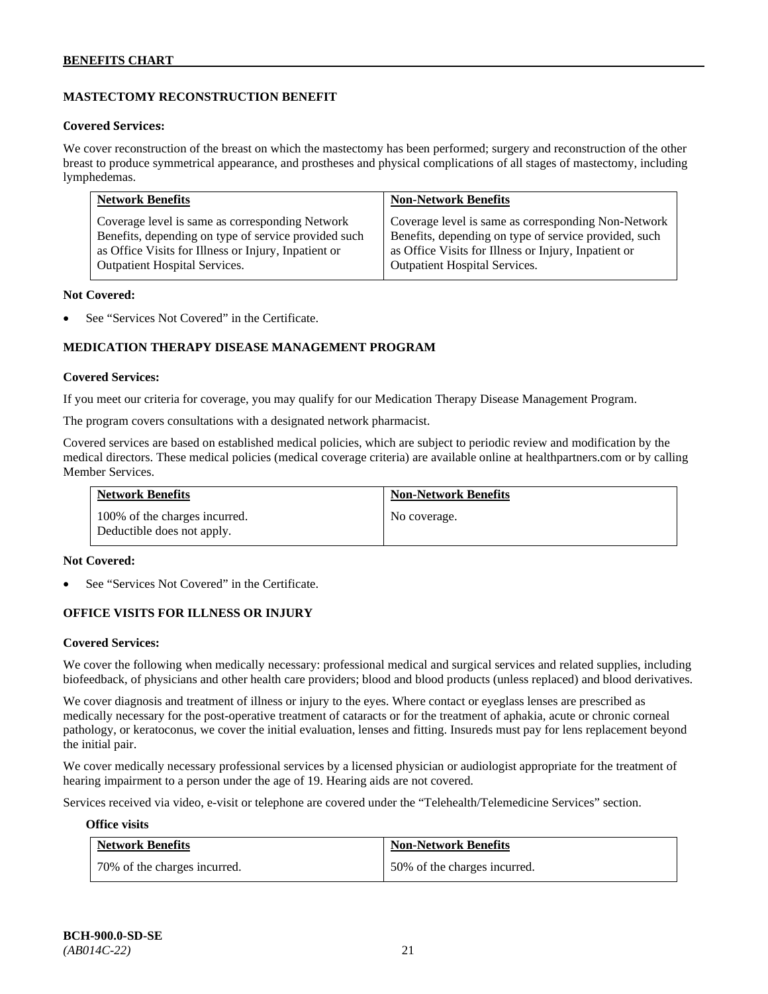# **MASTECTOMY RECONSTRUCTION BENEFIT**

#### **Covered Services:**

We cover reconstruction of the breast on which the mastectomy has been performed; surgery and reconstruction of the other breast to produce symmetrical appearance, and prostheses and physical complications of all stages of mastectomy, including lymphedemas.

| <b>Network Benefits</b>                              | <b>Non-Network Benefits</b>                           |
|------------------------------------------------------|-------------------------------------------------------|
| Coverage level is same as corresponding Network      | Coverage level is same as corresponding Non-Network   |
| Benefits, depending on type of service provided such | Benefits, depending on type of service provided, such |
| as Office Visits for Illness or Injury, Inpatient or | as Office Visits for Illness or Injury, Inpatient or  |
| Outpatient Hospital Services.                        | Outpatient Hospital Services.                         |

#### **Not Covered:**

See "Services Not Covered" in the Certificate.

# **MEDICATION THERAPY DISEASE MANAGEMENT PROGRAM**

#### **Covered Services:**

If you meet our criteria for coverage, you may qualify for our Medication Therapy Disease Management Program.

The program covers consultations with a designated network pharmacist.

Covered services are based on established medical policies, which are subject to periodic review and modification by the medical directors. These medical policies (medical coverage criteria) are available online at [healthpartners.com](http://www.healthpartners.com/) or by calling Member Services.

| <b>Network Benefits</b>                                     | <b>Non-Network Benefits</b> |
|-------------------------------------------------------------|-----------------------------|
| 100% of the charges incurred.<br>Deductible does not apply. | No coverage.                |

#### **Not Covered:**

See "Services Not Covered" in the Certificate.

# **OFFICE VISITS FOR ILLNESS OR INJURY**

#### **Covered Services:**

We cover the following when medically necessary: professional medical and surgical services and related supplies, including biofeedback, of physicians and other health care providers; blood and blood products (unless replaced) and blood derivatives.

We cover diagnosis and treatment of illness or injury to the eyes. Where contact or eyeglass lenses are prescribed as medically necessary for the post-operative treatment of cataracts or for the treatment of aphakia, acute or chronic corneal pathology, or keratoconus, we cover the initial evaluation, lenses and fitting. Insureds must pay for lens replacement beyond the initial pair.

We cover medically necessary professional services by a licensed physician or audiologist appropriate for the treatment of hearing impairment to a person under the age of 19. Hearing aids are not covered.

Services received via video, e-visit or telephone are covered under the "Telehealth/Telemedicine Services" section.

#### **Office visits**

| <b>Network Benefits</b>      | <b>Non-Network Benefits</b>  |
|------------------------------|------------------------------|
| 70% of the charges incurred. | 50% of the charges incurred. |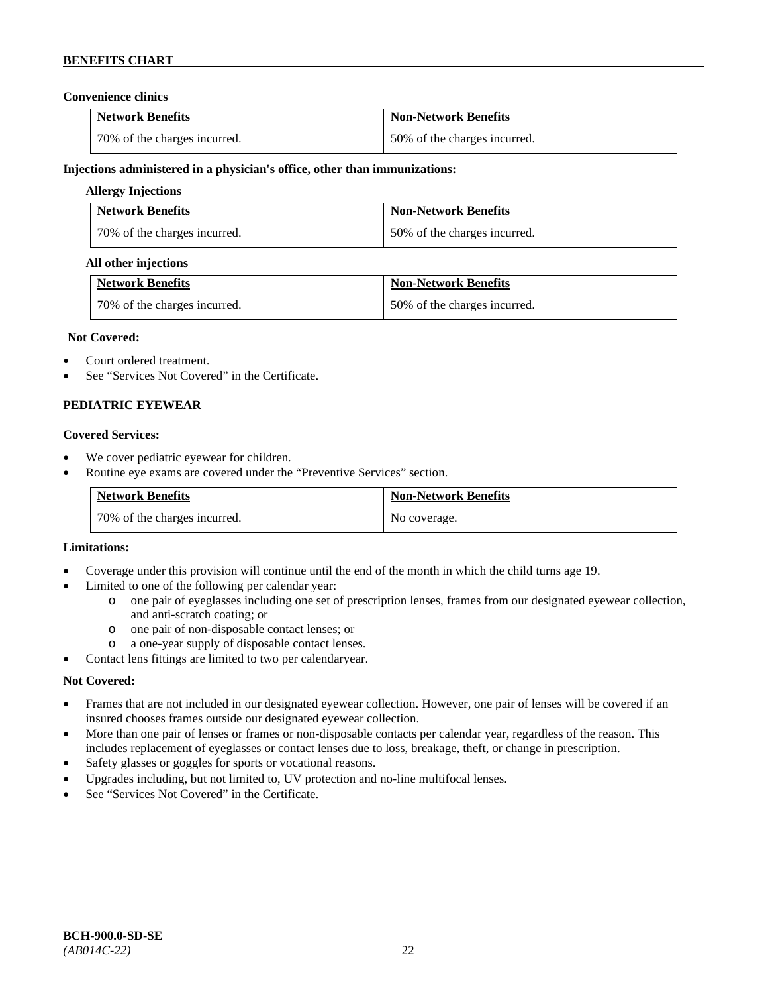# **Convenience clinics**

| <b>Network Benefits</b>      | <b>Non-Network Benefits</b>  |
|------------------------------|------------------------------|
| 70% of the charges incurred. | 50% of the charges incurred. |

### **Injections administered in a physician's office, other than immunizations:**

### **Allergy Injections**

| <b>Network Benefits</b>      | <b>Non-Network Benefits</b>  |
|------------------------------|------------------------------|
| 70% of the charges incurred. | 50% of the charges incurred. |

#### **All other injections**

| <b>Network Benefits</b>      | <b>Non-Network Benefits</b>  |
|------------------------------|------------------------------|
| 70% of the charges incurred. | 50% of the charges incurred. |

#### **Not Covered:**

- Court ordered treatment.
- See "Services Not Covered" in the Certificate.

# **PEDIATRIC EYEWEAR**

#### **Covered Services:**

- We cover pediatric eyewear for children.
- Routine eye exams are covered under the "Preventive Services" section.

| <b>Network Benefits</b>        | <b>Non-Network Benefits</b> |
|--------------------------------|-----------------------------|
| 1 70% of the charges incurred. | No coverage.                |

#### **Limitations:**

- Coverage under this provision will continue until the end of the month in which the child turns age 19.
- Limited to one of the following per calendar year:
	- o one pair of eyeglasses including one set of prescription lenses, frames from our designated eyewear collection, and anti-scratch coating; or
	- o one pair of non-disposable contact lenses; or
	- a one-year supply of disposable contact lenses.
- Contact lens fittings are limited to two per calendaryear.

# **Not Covered:**

- Frames that are not included in our designated eyewear collection. However, one pair of lenses will be covered if an insured chooses frames outside our designated eyewear collection.
- More than one pair of lenses or frames or non-disposable contacts per calendar year, regardless of the reason. This includes replacement of eyeglasses or contact lenses due to loss, breakage, theft, or change in prescription.
- Safety glasses or goggles for sports or vocational reasons.
- Upgrades including, but not limited to, UV protection and no-line multifocal lenses.
- See "Services Not Covered" in the Certificate.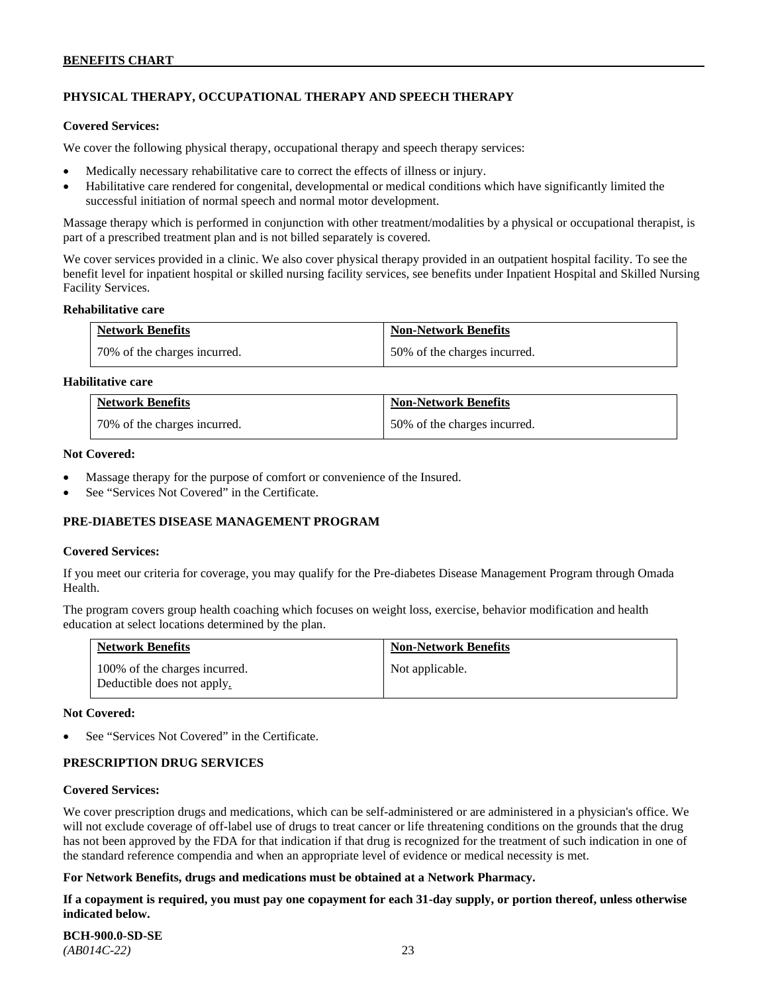# **PHYSICAL THERAPY, OCCUPATIONAL THERAPY AND SPEECH THERAPY**

#### **Covered Services:**

We cover the following physical therapy, occupational therapy and speech therapy services:

- Medically necessary rehabilitative care to correct the effects of illness or injury.
- Habilitative care rendered for congenital, developmental or medical conditions which have significantly limited the successful initiation of normal speech and normal motor development.

Massage therapy which is performed in conjunction with other treatment/modalities by a physical or occupational therapist, is part of a prescribed treatment plan and is not billed separately is covered.

We cover services provided in a clinic. We also cover physical therapy provided in an outpatient hospital facility. To see the benefit level for inpatient hospital or skilled nursing facility services, see benefits under Inpatient Hospital and Skilled Nursing Facility Services.

#### **Rehabilitative care**

| <b>Network Benefits</b>      | <b>Non-Network Benefits</b>  |
|------------------------------|------------------------------|
| 70% of the charges incurred. | 50% of the charges incurred. |

# **Habilitative care**

| <b>Network Benefits</b>      | <b>Non-Network Benefits</b>  |
|------------------------------|------------------------------|
| 70% of the charges incurred. | 50% of the charges incurred. |

#### **Not Covered:**

- Massage therapy for the purpose of comfort or convenience of the Insured.
- See "Services Not Covered" in the Certificate.

# **PRE-DIABETES DISEASE MANAGEMENT PROGRAM**

#### **Covered Services:**

If you meet our criteria for coverage, you may qualify for the Pre-diabetes Disease Management Program through Omada Health.

The program covers group health coaching which focuses on weight loss, exercise, behavior modification and health education at select locations determined by the plan.

| <b>Network Benefits</b>                                     | <b>Non-Network Benefits</b> |
|-------------------------------------------------------------|-----------------------------|
| 100% of the charges incurred.<br>Deductible does not apply. | Not applicable.             |

#### **Not Covered:**

See "Services Not Covered" in the Certificate.

# **PRESCRIPTION DRUG SERVICES**

#### **Covered Services:**

We cover prescription drugs and medications, which can be self-administered or are administered in a physician's office. We will not exclude coverage of off-label use of drugs to treat cancer or life threatening conditions on the grounds that the drug has not been approved by the FDA for that indication if that drug is recognized for the treatment of such indication in one of the standard reference compendia and when an appropriate level of evidence or medical necessity is met.

# **For Network Benefits, drugs and medications must be obtained at a Network Pharmacy.**

**If a copayment is required, you must pay one copayment for each 31-day supply, or portion thereof, unless otherwise indicated below.**

**BCH-900.0-SD-SE**  *(AB014C-22)* 23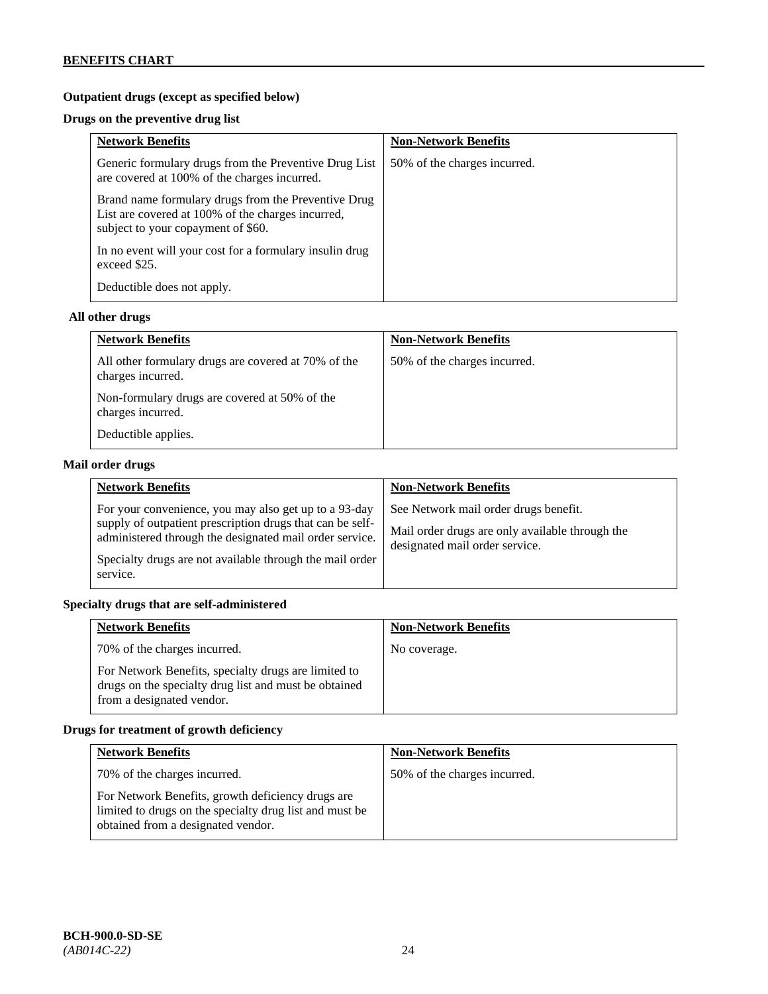# **Outpatient drugs (except as specified below)**

# **Drugs on the preventive drug list**

| <b>Network Benefits</b>                                                                                                                        | <b>Non-Network Benefits</b>  |
|------------------------------------------------------------------------------------------------------------------------------------------------|------------------------------|
| Generic formulary drugs from the Preventive Drug List<br>are covered at 100% of the charges incurred.                                          | 50% of the charges incurred. |
| Brand name formulary drugs from the Preventive Drug<br>List are covered at 100% of the charges incurred,<br>subject to your copayment of \$60. |                              |
| In no event will your cost for a formulary insulin drug<br>exceed \$25.                                                                        |                              |
| Deductible does not apply.                                                                                                                     |                              |

# **All other drugs**

| <b>Network Benefits</b>                                                  | <b>Non-Network Benefits</b>  |
|--------------------------------------------------------------------------|------------------------------|
| All other formulary drugs are covered at 70% of the<br>charges incurred. | 50% of the charges incurred. |
| Non-formulary drugs are covered at 50% of the<br>charges incurred.       |                              |
| Deductible applies.                                                      |                              |

# **Mail order drugs**

| <b>Network Benefits</b>                                                                                                                                                                                                                               | <b>Non-Network Benefits</b>                                                                                                |
|-------------------------------------------------------------------------------------------------------------------------------------------------------------------------------------------------------------------------------------------------------|----------------------------------------------------------------------------------------------------------------------------|
| For your convenience, you may also get up to a 93-day<br>supply of outpatient prescription drugs that can be self-<br>administered through the designated mail order service.<br>Specialty drugs are not available through the mail order<br>service. | See Network mail order drugs benefit.<br>Mail order drugs are only available through the<br>designated mail order service. |

# **Specialty drugs that are self-administered**

| <b>Network Benefits</b>                                                                                                                    | <b>Non-Network Benefits</b> |
|--------------------------------------------------------------------------------------------------------------------------------------------|-----------------------------|
| 70% of the charges incurred.                                                                                                               | No coverage.                |
| For Network Benefits, specialty drugs are limited to<br>drugs on the specialty drug list and must be obtained<br>from a designated vendor. |                             |

# **Drugs for treatment of growth deficiency**

| <b>Network Benefits</b>                                                                                                                            | <b>Non-Network Benefits</b>  |
|----------------------------------------------------------------------------------------------------------------------------------------------------|------------------------------|
| 70% of the charges incurred.                                                                                                                       | 50% of the charges incurred. |
| For Network Benefits, growth deficiency drugs are<br>limited to drugs on the specialty drug list and must be<br>obtained from a designated vendor. |                              |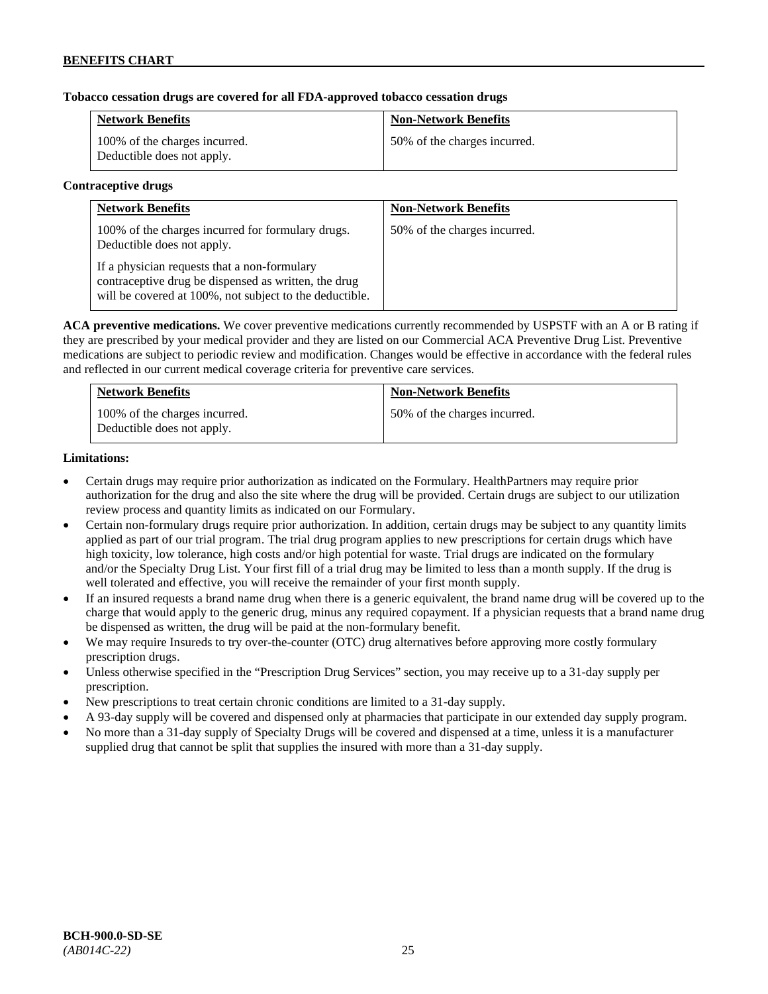# **Tobacco cessation drugs are covered for all FDA-approved tobacco cessation drugs**

| <b>Network Benefits</b>                                     | <b>Non-Network Benefits</b>  |
|-------------------------------------------------------------|------------------------------|
| 100% of the charges incurred.<br>Deductible does not apply. | 50% of the charges incurred. |

#### **Contraceptive drugs**

| <b>Network Benefits</b>                                                                                                                                         | <b>Non-Network Benefits</b>  |
|-----------------------------------------------------------------------------------------------------------------------------------------------------------------|------------------------------|
| 100% of the charges incurred for formulary drugs.<br>Deductible does not apply.                                                                                 | 50% of the charges incurred. |
| If a physician requests that a non-formulary<br>contraceptive drug be dispensed as written, the drug<br>will be covered at 100%, not subject to the deductible. |                              |

**ACA preventive medications.** We cover preventive medications currently recommended by USPSTF with an A or B rating if they are prescribed by your medical provider and they are listed on our Commercial ACA Preventive Drug List. Preventive medications are subject to periodic review and modification. Changes would be effective in accordance with the federal rules and reflected in our current medical coverage criteria for preventive care services.

| <b>Network Benefits</b>                                     | <b>Non-Network Benefits</b>  |
|-------------------------------------------------------------|------------------------------|
| 100% of the charges incurred.<br>Deductible does not apply. | 50% of the charges incurred. |

#### **Limitations:**

- Certain drugs may require prior authorization as indicated on the Formulary. HealthPartners may require prior authorization for the drug and also the site where the drug will be provided. Certain drugs are subject to our utilization review process and quantity limits as indicated on our Formulary.
- Certain non-formulary drugs require prior authorization. In addition, certain drugs may be subject to any quantity limits applied as part of our trial program. The trial drug program applies to new prescriptions for certain drugs which have high toxicity, low tolerance, high costs and/or high potential for waste. Trial drugs are indicated on the formulary and/or the Specialty Drug List. Your first fill of a trial drug may be limited to less than a month supply. If the drug is well tolerated and effective, you will receive the remainder of your first month supply.
- If an insured requests a brand name drug when there is a generic equivalent, the brand name drug will be covered up to the charge that would apply to the generic drug, minus any required copayment. If a physician requests that a brand name drug be dispensed as written, the drug will be paid at the non-formulary benefit.
- We may require Insureds to try over-the-counter (OTC) drug alternatives before approving more costly formulary prescription drugs.
- Unless otherwise specified in the "Prescription Drug Services" section, you may receive up to a 31-day supply per prescription.
- New prescriptions to treat certain chronic conditions are limited to a 31-day supply.
- A 93-day supply will be covered and dispensed only at pharmacies that participate in our extended day supply program.
- No more than a 31-day supply of Specialty Drugs will be covered and dispensed at a time, unless it is a manufacturer supplied drug that cannot be split that supplies the insured with more than a 31-day supply.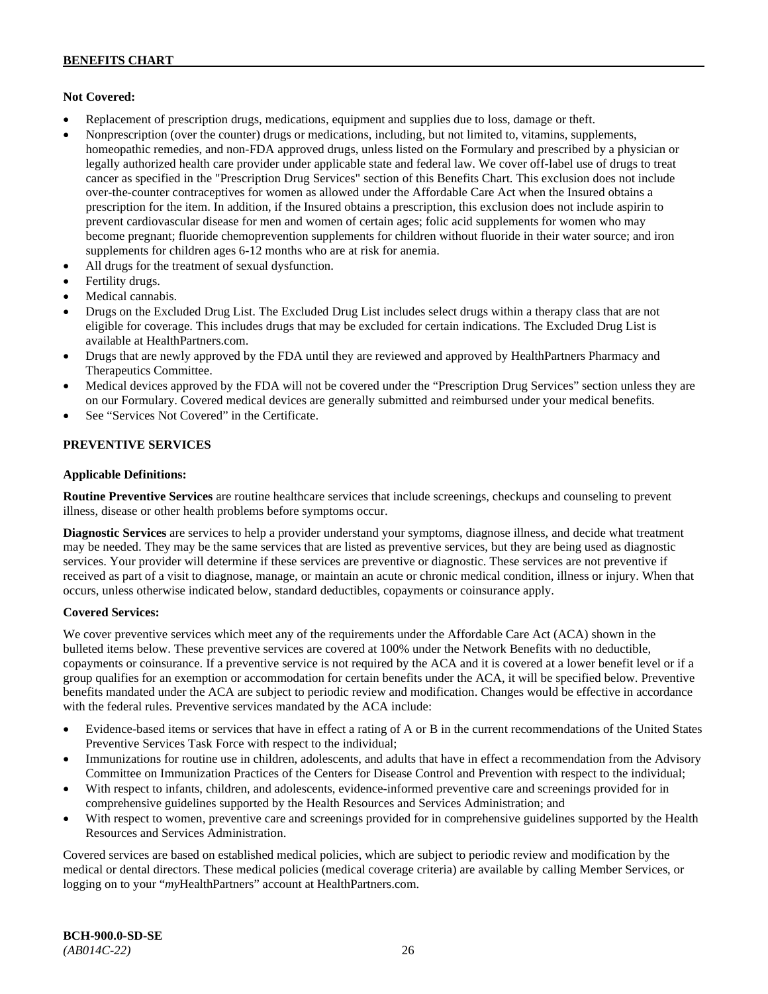# **Not Covered:**

- Replacement of prescription drugs, medications, equipment and supplies due to loss, damage or theft.
- Nonprescription (over the counter) drugs or medications, including, but not limited to, vitamins, supplements, homeopathic remedies, and non-FDA approved drugs, unless listed on the Formulary and prescribed by a physician or legally authorized health care provider under applicable state and federal law. We cover off-label use of drugs to treat cancer as specified in the "Prescription Drug Services" section of this Benefits Chart. This exclusion does not include over-the-counter contraceptives for women as allowed under the Affordable Care Act when the Insured obtains a prescription for the item. In addition, if the Insured obtains a prescription, this exclusion does not include aspirin to prevent cardiovascular disease for men and women of certain ages; folic acid supplements for women who may become pregnant; fluoride chemoprevention supplements for children without fluoride in their water source; and iron supplements for children ages 6-12 months who are at risk for anemia.
- All drugs for the treatment of sexual dysfunction.
- Fertility drugs.
- Medical cannabis.
- Drugs on the Excluded Drug List. The Excluded Drug List includes select drugs within a therapy class that are not eligible for coverage. This includes drugs that may be excluded for certain indications. The Excluded Drug List is available a[t HealthPartners.com.](http://www.healthpartners.com/)
- Drugs that are newly approved by the FDA until they are reviewed and approved by HealthPartners Pharmacy and Therapeutics Committee.
- Medical devices approved by the FDA will not be covered under the "Prescription Drug Services" section unless they are on our Formulary. Covered medical devices are generally submitted and reimbursed under your medical benefits.
- See "Services Not Covered" in the Certificate.

# **PREVENTIVE SERVICES**

#### **Applicable Definitions:**

**Routine Preventive Services** are routine healthcare services that include screenings, checkups and counseling to prevent illness, disease or other health problems before symptoms occur.

**Diagnostic Services** are services to help a provider understand your symptoms, diagnose illness, and decide what treatment may be needed. They may be the same services that are listed as preventive services, but they are being used as diagnostic services. Your provider will determine if these services are preventive or diagnostic. These services are not preventive if received as part of a visit to diagnose, manage, or maintain an acute or chronic medical condition, illness or injury. When that occurs, unless otherwise indicated below, standard deductibles, copayments or coinsurance apply.

# **Covered Services:**

We cover preventive services which meet any of the requirements under the Affordable Care Act (ACA) shown in the bulleted items below. These preventive services are covered at 100% under the Network Benefits with no deductible, copayments or coinsurance. If a preventive service is not required by the ACA and it is covered at a lower benefit level or if a group qualifies for an exemption or accommodation for certain benefits under the ACA, it will be specified below. Preventive benefits mandated under the ACA are subject to periodic review and modification. Changes would be effective in accordance with the federal rules. Preventive services mandated by the ACA include:

- Evidence-based items or services that have in effect a rating of A or B in the current recommendations of the United States Preventive Services Task Force with respect to the individual;
- Immunizations for routine use in children, adolescents, and adults that have in effect a recommendation from the Advisory Committee on Immunization Practices of the Centers for Disease Control and Prevention with respect to the individual;
- With respect to infants, children, and adolescents, evidence-informed preventive care and screenings provided for in comprehensive guidelines supported by the Health Resources and Services Administration; and
- With respect to women, preventive care and screenings provided for in comprehensive guidelines supported by the Health Resources and Services Administration.

Covered services are based on established medical policies, which are subject to periodic review and modification by the medical or dental directors. These medical policies (medical coverage criteria) are available by calling Member Services, or logging on to your "*my*HealthPartners" account at [HealthPartners.com.](http://www.healthpartners.com/)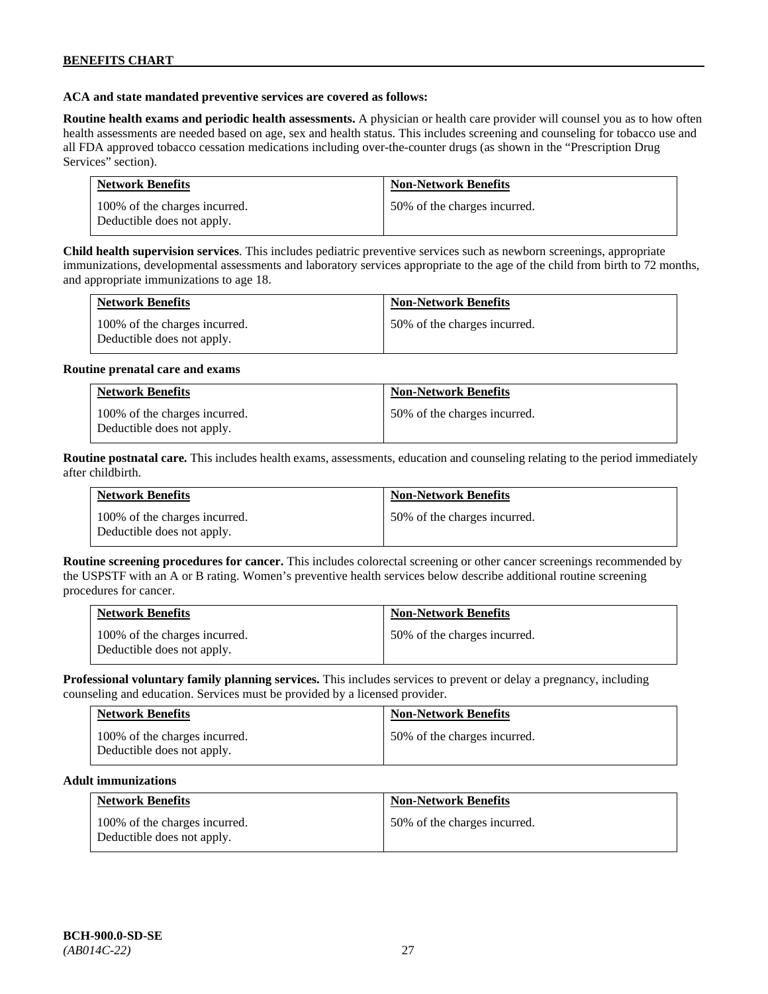### **ACA and state mandated preventive services are covered as follows:**

**Routine health exams and periodic health assessments.** A physician or health care provider will counsel you as to how often health assessments are needed based on age, sex and health status. This includes screening and counseling for tobacco use and all FDA approved tobacco cessation medications including over-the-counter drugs (as shown in the "Prescription Drug Services" section).

| <b>Network Benefits</b>                                     | <b>Non-Network Benefits</b>  |
|-------------------------------------------------------------|------------------------------|
| 100% of the charges incurred.<br>Deductible does not apply. | 50% of the charges incurred. |

**Child health supervision services**. This includes pediatric preventive services such as newborn screenings, appropriate immunizations, developmental assessments and laboratory services appropriate to the age of the child from birth to 72 months, and appropriate immunizations to age 18.

| <b>Network Benefits</b>                                     | <b>Non-Network Benefits</b>  |
|-------------------------------------------------------------|------------------------------|
| 100% of the charges incurred.<br>Deductible does not apply. | 50% of the charges incurred. |

#### **Routine prenatal care and exams**

| <b>Network Benefits</b>                                     | <b>Non-Network Benefits</b>  |
|-------------------------------------------------------------|------------------------------|
| 100% of the charges incurred.<br>Deductible does not apply. | 50% of the charges incurred. |

**Routine postnatal care.** This includes health exams, assessments, education and counseling relating to the period immediately after childbirth.

| <b>Network Benefits</b>                                     | <b>Non-Network Benefits</b>  |
|-------------------------------------------------------------|------------------------------|
| 100% of the charges incurred.<br>Deductible does not apply. | 50% of the charges incurred. |

**Routine screening procedures for cancer.** This includes colorectal screening or other cancer screenings recommended by the USPSTF with an A or B rating. Women's preventive health services below describe additional routine screening procedures for cancer.

| <b>Network Benefits</b>                                     | <b>Non-Network Benefits</b>  |
|-------------------------------------------------------------|------------------------------|
| 100% of the charges incurred.<br>Deductible does not apply. | 50% of the charges incurred. |

**Professional voluntary family planning services.** This includes services to prevent or delay a pregnancy, including counseling and education. Services must be provided by a licensed provider.

| <b>Network Benefits</b>                                     | <b>Non-Network Benefits</b>  |
|-------------------------------------------------------------|------------------------------|
| 100% of the charges incurred.<br>Deductible does not apply. | 50% of the charges incurred. |

#### **Adult immunizations**

| <b>Network Benefits</b>                                     | <b>Non-Network Benefits</b>  |
|-------------------------------------------------------------|------------------------------|
| 100% of the charges incurred.<br>Deductible does not apply. | 50% of the charges incurred. |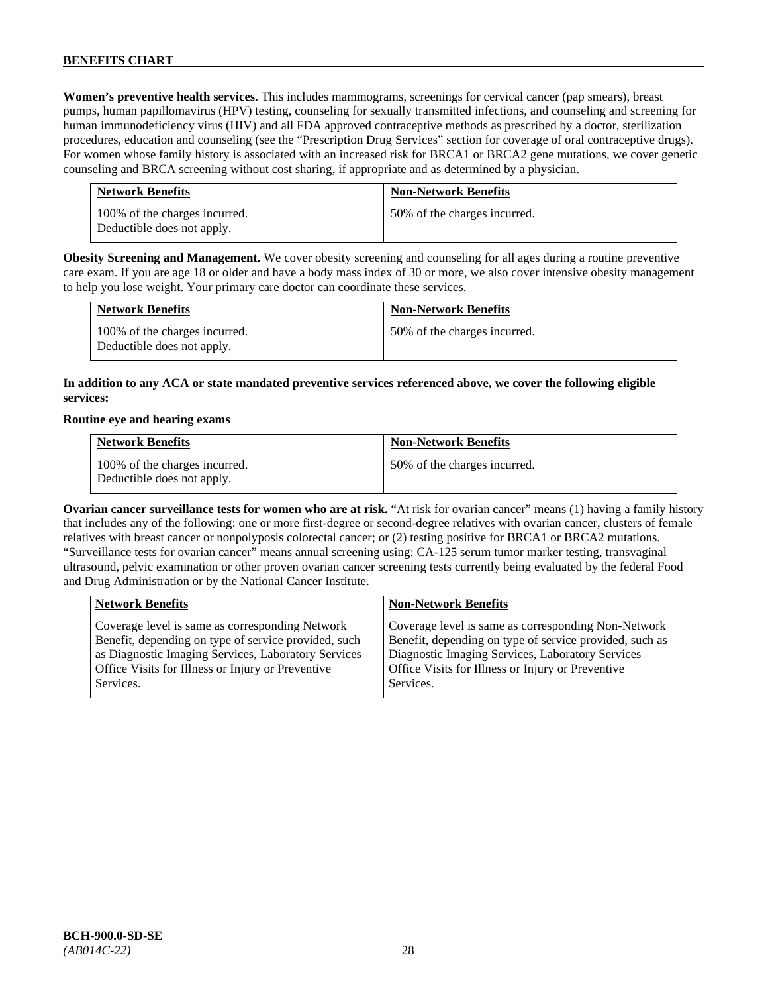**Women's preventive health services.** This includes mammograms, screenings for cervical cancer (pap smears), breast pumps, human papillomavirus (HPV) testing, counseling for sexually transmitted infections, and counseling and screening for human immunodeficiency virus (HIV) and all FDA approved contraceptive methods as prescribed by a doctor, sterilization procedures, education and counseling (see the "Prescription Drug Services" section for coverage of oral contraceptive drugs). For women whose family history is associated with an increased risk for BRCA1 or BRCA2 gene mutations, we cover genetic counseling and BRCA screening without cost sharing, if appropriate and as determined by a physician.

| <b>Network Benefits</b>                                     | <b>Non-Network Benefits</b>  |
|-------------------------------------------------------------|------------------------------|
| 100% of the charges incurred.<br>Deductible does not apply. | 50% of the charges incurred. |

**Obesity Screening and Management.** We cover obesity screening and counseling for all ages during a routine preventive care exam. If you are age 18 or older and have a body mass index of 30 or more, we also cover intensive obesity management to help you lose weight. Your primary care doctor can coordinate these services.

| <b>Network Benefits</b>                                     | <b>Non-Network Benefits</b>  |
|-------------------------------------------------------------|------------------------------|
| 100% of the charges incurred.<br>Deductible does not apply. | 50% of the charges incurred. |

# **In addition to any ACA or state mandated preventive services referenced above, we cover the following eligible services:**

#### **Routine eye and hearing exams**

| <b>Network Benefits</b>                                     | <b>Non-Network Benefits</b>  |
|-------------------------------------------------------------|------------------------------|
| 100% of the charges incurred.<br>Deductible does not apply. | 50% of the charges incurred. |

**Ovarian cancer surveillance tests for women who are at risk.** "At risk for ovarian cancer" means (1) having a family history that includes any of the following: one or more first-degree or second-degree relatives with ovarian cancer, clusters of female relatives with breast cancer or nonpolyposis colorectal cancer; or (2) testing positive for BRCA1 or BRCA2 mutations. "Surveillance tests for ovarian cancer" means annual screening using: CA-125 serum tumor marker testing, transvaginal ultrasound, pelvic examination or other proven ovarian cancer screening tests currently being evaluated by the federal Food and Drug Administration or by the National Cancer Institute.

| <b>Network Benefits</b>                              | <b>Non-Network Benefits</b>                             |
|------------------------------------------------------|---------------------------------------------------------|
| Coverage level is same as corresponding Network      | Coverage level is same as corresponding Non-Network     |
| Benefit, depending on type of service provided, such | Benefit, depending on type of service provided, such as |
| as Diagnostic Imaging Services, Laboratory Services  | Diagnostic Imaging Services, Laboratory Services        |
| Office Visits for Illness or Injury or Preventive    | Office Visits for Illness or Injury or Preventive       |
| Services.                                            | Services.                                               |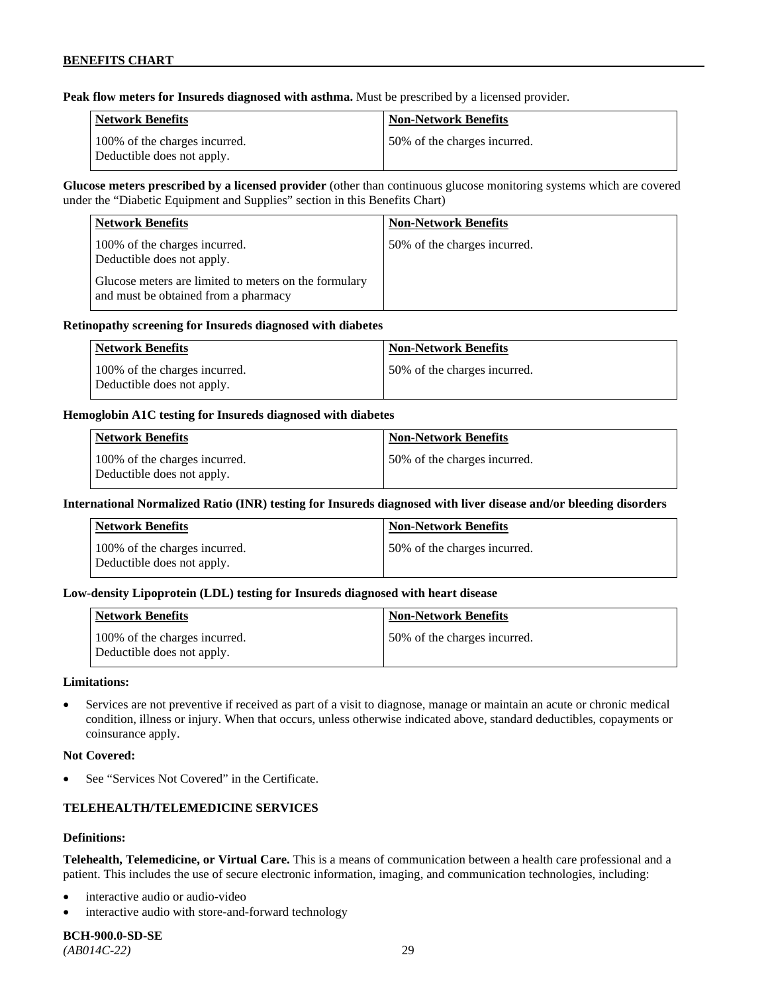**Peak flow meters for Insureds diagnosed with asthma.** Must be prescribed by a licensed provider.

| Network Benefits                                            | <b>Non-Network Benefits</b>   |
|-------------------------------------------------------------|-------------------------------|
| 100% of the charges incurred.<br>Deductible does not apply. | 150% of the charges incurred. |

**Glucose meters prescribed by a licensed provider** (other than continuous glucose monitoring systems which are covered under the "Diabetic Equipment and Supplies" section in this Benefits Chart)

| <b>Network Benefits</b>                                                                       | <b>Non-Network Benefits</b>  |
|-----------------------------------------------------------------------------------------------|------------------------------|
| 100% of the charges incurred.<br>Deductible does not apply.                                   | 50% of the charges incurred. |
| Glucose meters are limited to meters on the formulary<br>and must be obtained from a pharmacy |                              |

#### **Retinopathy screening for Insureds diagnosed with diabetes**

| <b>Network Benefits</b>                                     | <b>Non-Network Benefits</b>  |
|-------------------------------------------------------------|------------------------------|
| 100% of the charges incurred.<br>Deductible does not apply. | 50% of the charges incurred. |

### **Hemoglobin A1C testing for Insureds diagnosed with diabetes**

| Network Benefits                                            | <b>Non-Network Benefits</b>  |
|-------------------------------------------------------------|------------------------------|
| 100% of the charges incurred.<br>Deductible does not apply. | 50% of the charges incurred. |

# **International Normalized Ratio (INR) testing for Insureds diagnosed with liver disease and/or bleeding disorders**

| Network Benefits                                            | <b>Non-Network Benefits</b>  |
|-------------------------------------------------------------|------------------------------|
| 100% of the charges incurred.<br>Deductible does not apply. | 50% of the charges incurred. |

# **Low-density Lipoprotein (LDL) testing for Insureds diagnosed with heart disease**

| <b>Network Benefits</b>                                     | <b>Non-Network Benefits</b>   |
|-------------------------------------------------------------|-------------------------------|
| 100% of the charges incurred.<br>Deductible does not apply. | 150% of the charges incurred. |

#### **Limitations:**

• Services are not preventive if received as part of a visit to diagnose, manage or maintain an acute or chronic medical condition, illness or injury. When that occurs, unless otherwise indicated above, standard deductibles, copayments or coinsurance apply.

#### **Not Covered:**

See "Services Not Covered" in the Certificate.

# **TELEHEALTH/TELEMEDICINE SERVICES**

#### **Definitions:**

**Telehealth, Telemedicine, or Virtual Care.** This is a means of communication between a health care professional and a patient. This includes the use of secure electronic information, imaging, and communication technologies, including:

- interactive audio or audio-video
- interactive audio with store-and-forward technology

**BCH-900.0-SD-SE**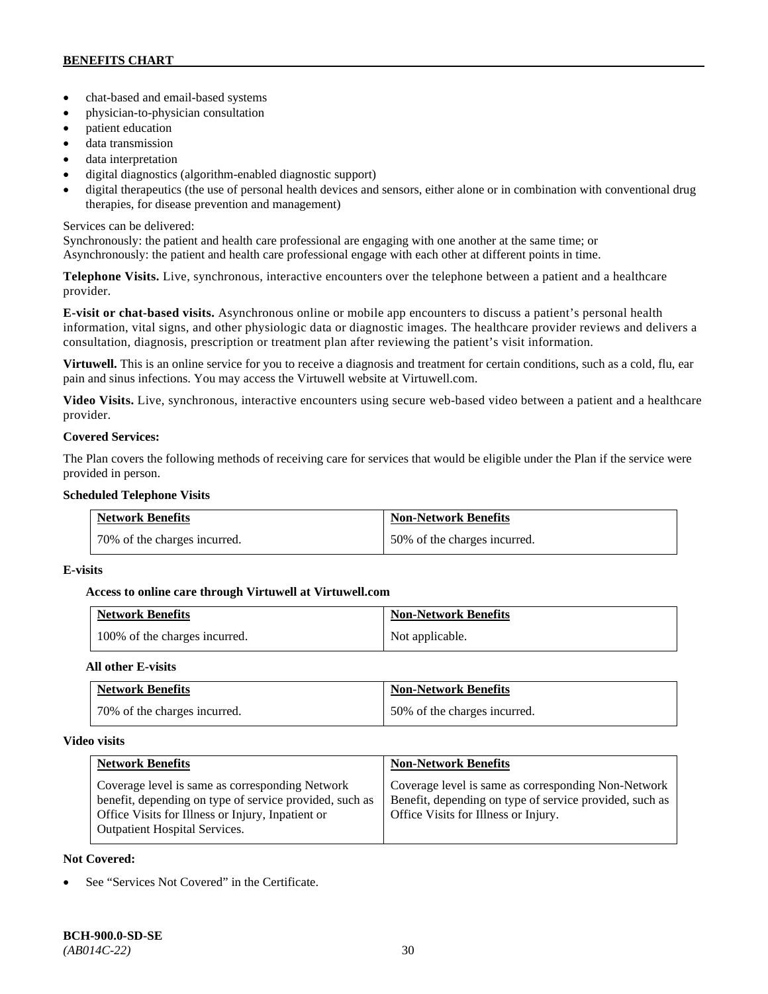- chat-based and email-based systems
- physician-to-physician consultation
- patient education
- data transmission
- data interpretation
- digital diagnostics (algorithm-enabled diagnostic support)
- digital therapeutics (the use of personal health devices and sensors, either alone or in combination with conventional drug therapies, for disease prevention and management)

# Services can be delivered:

Synchronously: the patient and health care professional are engaging with one another at the same time; or Asynchronously: the patient and health care professional engage with each other at different points in time.

**Telephone Visits.** Live, synchronous, interactive encounters over the telephone between a patient and a healthcare provider.

**E-visit or chat-based visits.** Asynchronous online or mobile app encounters to discuss a patient's personal health information, vital signs, and other physiologic data or diagnostic images. The healthcare provider reviews and delivers a consultation, diagnosis, prescription or treatment plan after reviewing the patient's visit information.

**Virtuwell.** This is an online service for you to receive a diagnosis and treatment for certain conditions, such as a cold, flu, ear pain and sinus infections. You may access the Virtuwell website at [Virtuwell.com.](https://www.virtuwell.com/)

**Video Visits.** Live, synchronous, interactive encounters using secure web-based video between a patient and a healthcare provider.

# **Covered Services:**

The Plan covers the following methods of receiving care for services that would be eligible under the Plan if the service were provided in person.

### **Scheduled Telephone Visits**

| <b>Network Benefits</b>      | <b>Non-Network Benefits</b>  |
|------------------------------|------------------------------|
| 70% of the charges incurred. | 50% of the charges incurred. |

# **E-visits**

# **Access to online care through Virtuwell at [Virtuwell.com](http://www.virtuwell.com/)**

| <b>Network Benefits</b>       | <b>Non-Network Benefits</b> |
|-------------------------------|-----------------------------|
| 100% of the charges incurred. | Not applicable.             |

# **All other E-visits**

| <b>Network Benefits</b>      | <b>Non-Network Benefits</b>  |
|------------------------------|------------------------------|
| 70% of the charges incurred. | 50% of the charges incurred. |

# **Video visits**

| <b>Network Benefits</b>                                                                                                                                                                                 | <b>Non-Network Benefits</b>                                                                                                                            |
|---------------------------------------------------------------------------------------------------------------------------------------------------------------------------------------------------------|--------------------------------------------------------------------------------------------------------------------------------------------------------|
| Coverage level is same as corresponding Network<br>benefit, depending on type of service provided, such as<br>Office Visits for Illness or Injury, Inpatient or<br><b>Outpatient Hospital Services.</b> | Coverage level is same as corresponding Non-Network<br>Benefit, depending on type of service provided, such as<br>Office Visits for Illness or Injury. |

# **Not Covered:**

See "Services Not Covered" in the Certificate.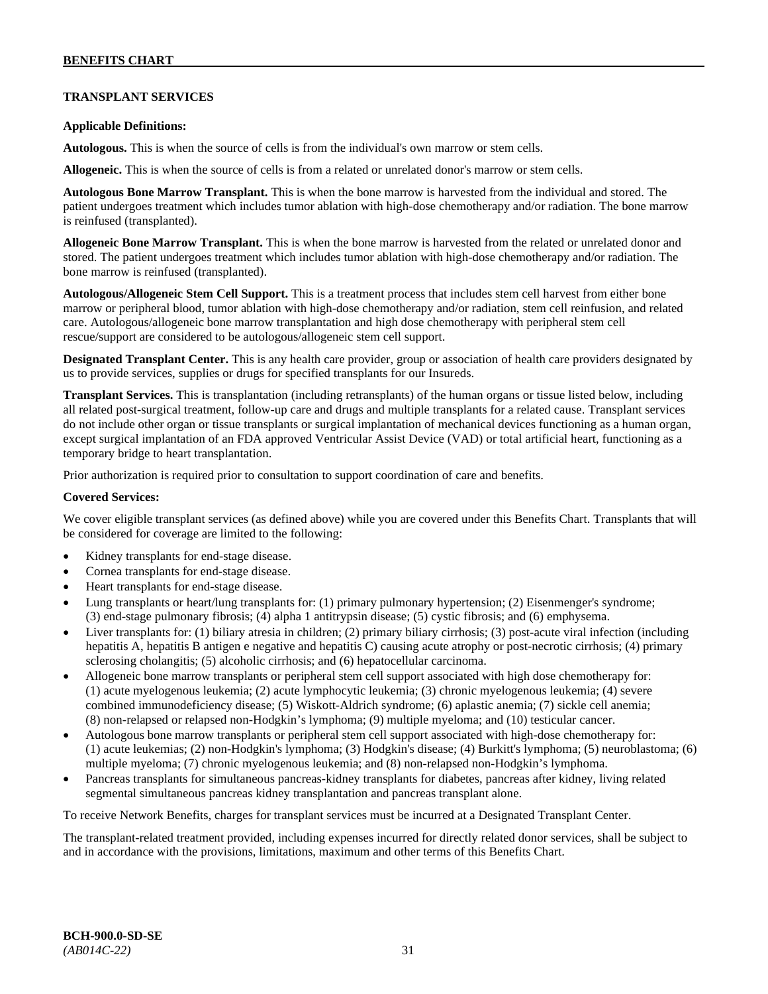# **TRANSPLANT SERVICES**

#### **Applicable Definitions:**

**Autologous.** This is when the source of cells is from the individual's own marrow or stem cells.

**Allogeneic.** This is when the source of cells is from a related or unrelated donor's marrow or stem cells.

**Autologous Bone Marrow Transplant.** This is when the bone marrow is harvested from the individual and stored. The patient undergoes treatment which includes tumor ablation with high-dose chemotherapy and/or radiation. The bone marrow is reinfused (transplanted).

**Allogeneic Bone Marrow Transplant.** This is when the bone marrow is harvested from the related or unrelated donor and stored. The patient undergoes treatment which includes tumor ablation with high-dose chemotherapy and/or radiation. The bone marrow is reinfused (transplanted).

**Autologous/Allogeneic Stem Cell Support.** This is a treatment process that includes stem cell harvest from either bone marrow or peripheral blood, tumor ablation with high-dose chemotherapy and/or radiation, stem cell reinfusion, and related care. Autologous/allogeneic bone marrow transplantation and high dose chemotherapy with peripheral stem cell rescue/support are considered to be autologous/allogeneic stem cell support.

**Designated Transplant Center.** This is any health care provider, group or association of health care providers designated by us to provide services, supplies or drugs for specified transplants for our Insureds.

**Transplant Services.** This is transplantation (including retransplants) of the human organs or tissue listed below, including all related post-surgical treatment, follow-up care and drugs and multiple transplants for a related cause. Transplant services do not include other organ or tissue transplants or surgical implantation of mechanical devices functioning as a human organ, except surgical implantation of an FDA approved Ventricular Assist Device (VAD) or total artificial heart, functioning as a temporary bridge to heart transplantation.

Prior authorization is required prior to consultation to support coordination of care and benefits.

### **Covered Services:**

We cover eligible transplant services (as defined above) while you are covered under this Benefits Chart. Transplants that will be considered for coverage are limited to the following:

- Kidney transplants for end-stage disease.
- Cornea transplants for end-stage disease.
- Heart transplants for end-stage disease.
- Lung transplants or heart/lung transplants for: (1) primary pulmonary hypertension; (2) Eisenmenger's syndrome; (3) end-stage pulmonary fibrosis; (4) alpha 1 antitrypsin disease; (5) cystic fibrosis; and (6) emphysema.
- Liver transplants for: (1) biliary atresia in children; (2) primary biliary cirrhosis; (3) post-acute viral infection (including hepatitis A, hepatitis B antigen e negative and hepatitis C) causing acute atrophy or post-necrotic cirrhosis; (4) primary sclerosing cholangitis; (5) alcoholic cirrhosis; and (6) hepatocellular carcinoma.
- Allogeneic bone marrow transplants or peripheral stem cell support associated with high dose chemotherapy for: (1) acute myelogenous leukemia; (2) acute lymphocytic leukemia; (3) chronic myelogenous leukemia; (4) severe combined immunodeficiency disease; (5) Wiskott-Aldrich syndrome; (6) aplastic anemia; (7) sickle cell anemia; (8) non-relapsed or relapsed non-Hodgkin's lymphoma; (9) multiple myeloma; and (10) testicular cancer.
- Autologous bone marrow transplants or peripheral stem cell support associated with high-dose chemotherapy for: (1) acute leukemias; (2) non-Hodgkin's lymphoma; (3) Hodgkin's disease; (4) Burkitt's lymphoma; (5) neuroblastoma; (6) multiple myeloma; (7) chronic myelogenous leukemia; and (8) non-relapsed non-Hodgkin's lymphoma.
- Pancreas transplants for simultaneous pancreas-kidney transplants for diabetes, pancreas after kidney, living related segmental simultaneous pancreas kidney transplantation and pancreas transplant alone.

To receive Network Benefits, charges for transplant services must be incurred at a Designated Transplant Center.

The transplant-related treatment provided, including expenses incurred for directly related donor services, shall be subject to and in accordance with the provisions, limitations, maximum and other terms of this Benefits Chart.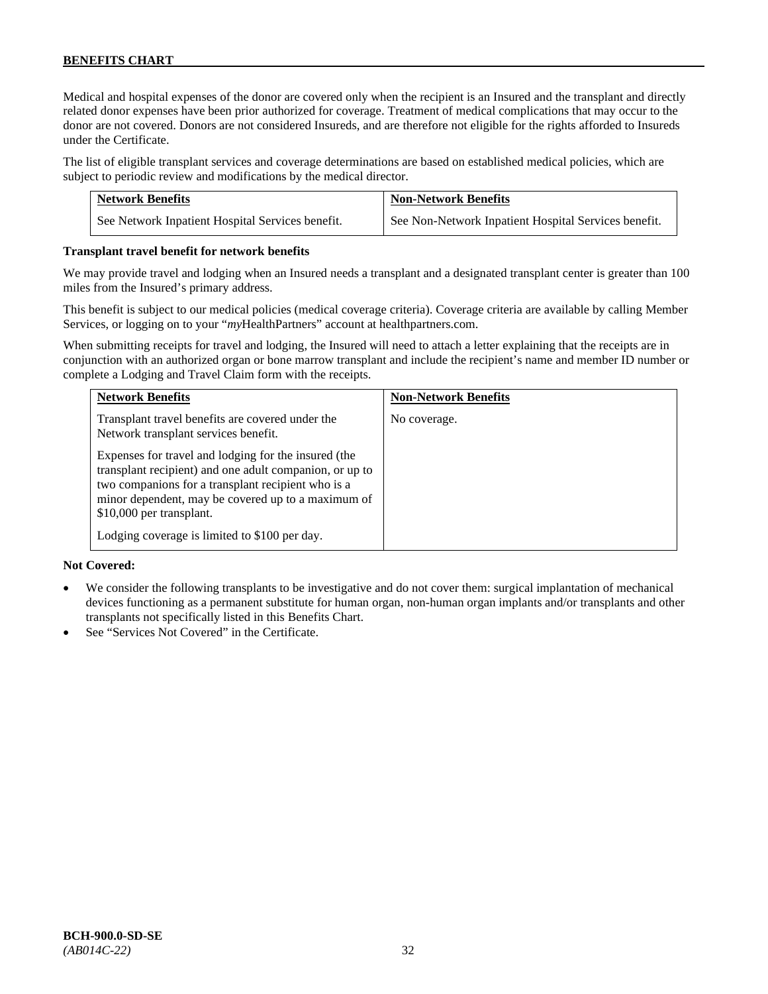Medical and hospital expenses of the donor are covered only when the recipient is an Insured and the transplant and directly related donor expenses have been prior authorized for coverage. Treatment of medical complications that may occur to the donor are not covered. Donors are not considered Insureds, and are therefore not eligible for the rights afforded to Insureds under the Certificate.

The list of eligible transplant services and coverage determinations are based on established medical policies, which are subject to periodic review and modifications by the medical director.

| <b>Network Benefits</b>                          | <b>Non-Network Benefits</b>                          |
|--------------------------------------------------|------------------------------------------------------|
| See Network Inpatient Hospital Services benefit. | See Non-Network Inpatient Hospital Services benefit. |

#### **Transplant travel benefit for network benefits**

We may provide travel and lodging when an Insured needs a transplant and a designated transplant center is greater than 100 miles from the Insured's primary address.

This benefit is subject to our medical policies (medical coverage criteria). Coverage criteria are available by calling Member Services, or logging on to your "*my*HealthPartners" account a[t healthpartners.com.](http://www.healthpartners.com/)

When submitting receipts for travel and lodging, the Insured will need to attach a letter explaining that the receipts are in conjunction with an authorized organ or bone marrow transplant and include the recipient's name and member ID number or complete a Lodging and Travel Claim form with the receipts.

| <b>Network Benefits</b>                                                                                                                                                                                                                                                                                  | <b>Non-Network Benefits</b> |
|----------------------------------------------------------------------------------------------------------------------------------------------------------------------------------------------------------------------------------------------------------------------------------------------------------|-----------------------------|
| Transplant travel benefits are covered under the<br>Network transplant services benefit.                                                                                                                                                                                                                 | No coverage.                |
| Expenses for travel and lodging for the insured (the<br>transplant recipient) and one adult companion, or up to<br>two companions for a transplant recipient who is a<br>minor dependent, may be covered up to a maximum of<br>\$10,000 per transplant.<br>Lodging coverage is limited to \$100 per day. |                             |

# **Not Covered:**

- We consider the following transplants to be investigative and do not cover them: surgical implantation of mechanical devices functioning as a permanent substitute for human organ, non-human organ implants and/or transplants and other transplants not specifically listed in this Benefits Chart.
- See "Services Not Covered" in the Certificate.